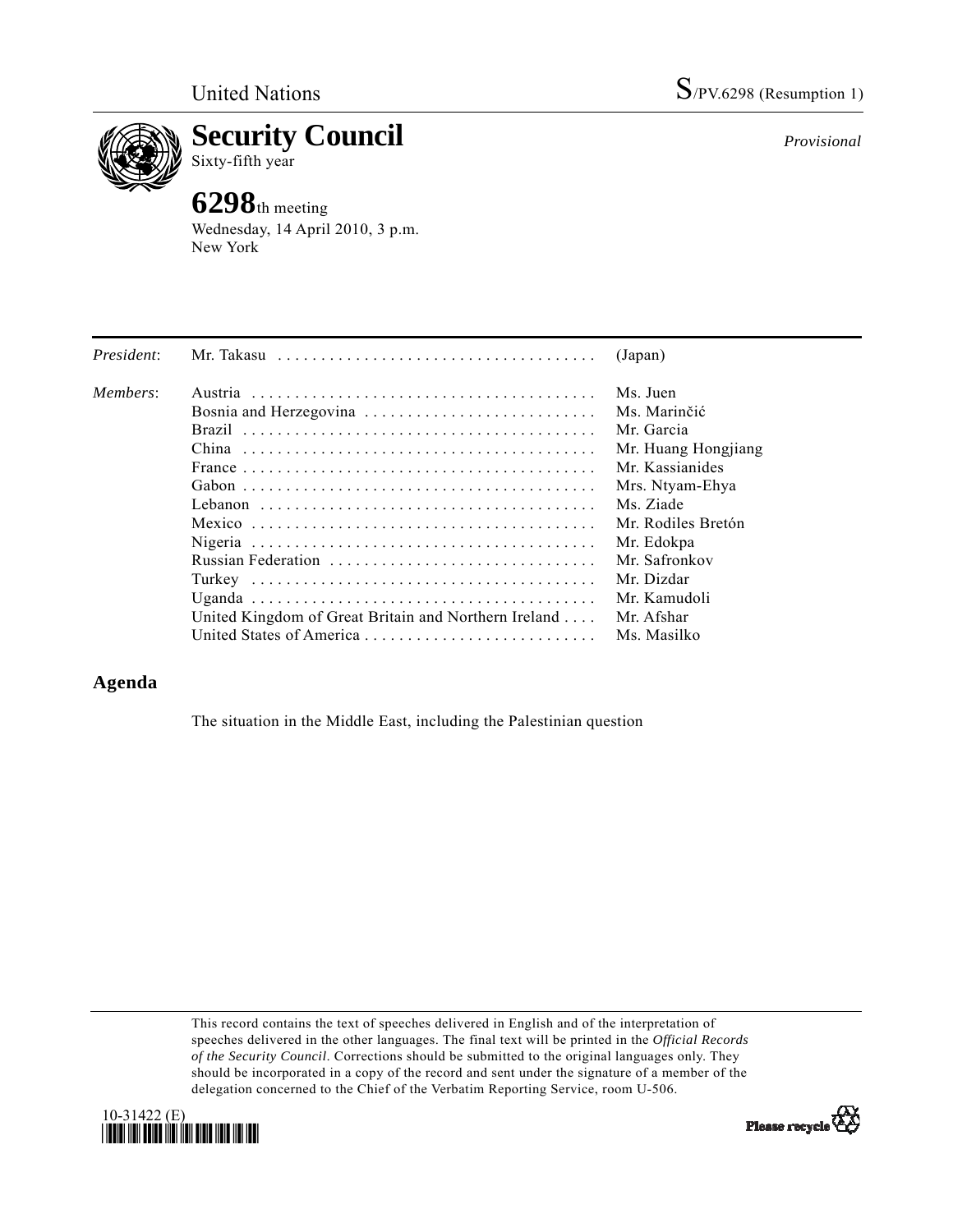

**Security Council**  Sixty-fifth year

## **6298**th meeting

Wednesday, 14 April 2010, 3 p.m. New York

| President: | Mr. Takasu                                                                                   | (Japan)             |
|------------|----------------------------------------------------------------------------------------------|---------------------|
| Members:   |                                                                                              | Ms. Juen            |
|            | Bosnia and Herzegovina                                                                       | Ms. Marinčić        |
|            |                                                                                              | Mr. Garcia          |
|            |                                                                                              | Mr. Huang Hongjiang |
|            | France $\ldots \ldots \ldots \ldots \ldots \ldots \ldots \ldots \ldots \ldots \ldots \ldots$ | Mr. Kassianides     |
|            |                                                                                              | Mrs. Ntyam-Ehya     |
|            |                                                                                              | Ms. Ziade           |
|            |                                                                                              | Mr. Rodiles Bretón  |
|            |                                                                                              | Mr. Edokpa          |
|            | Russian Federation                                                                           | Mr. Safronkov       |
|            |                                                                                              | Mr. Dizdar          |
|            |                                                                                              | Mr. Kamudoli        |
|            | United Kingdom of Great Britain and Northern Ireland                                         | Mr. Afshar          |
|            |                                                                                              | Ms. Masilko         |

## **Agenda**

The situation in the Middle East, including the Palestinian question

This record contains the text of speeches delivered in English and of the interpretation of speeches delivered in the other languages. The final text will be printed in the *Official Records of the Security Council*. Corrections should be submitted to the original languages only. They should be incorporated in a copy of the record and sent under the signature of a member of the delegation concerned to the Chief of the Verbatim Reporting Service, room U-506.





*Provisional*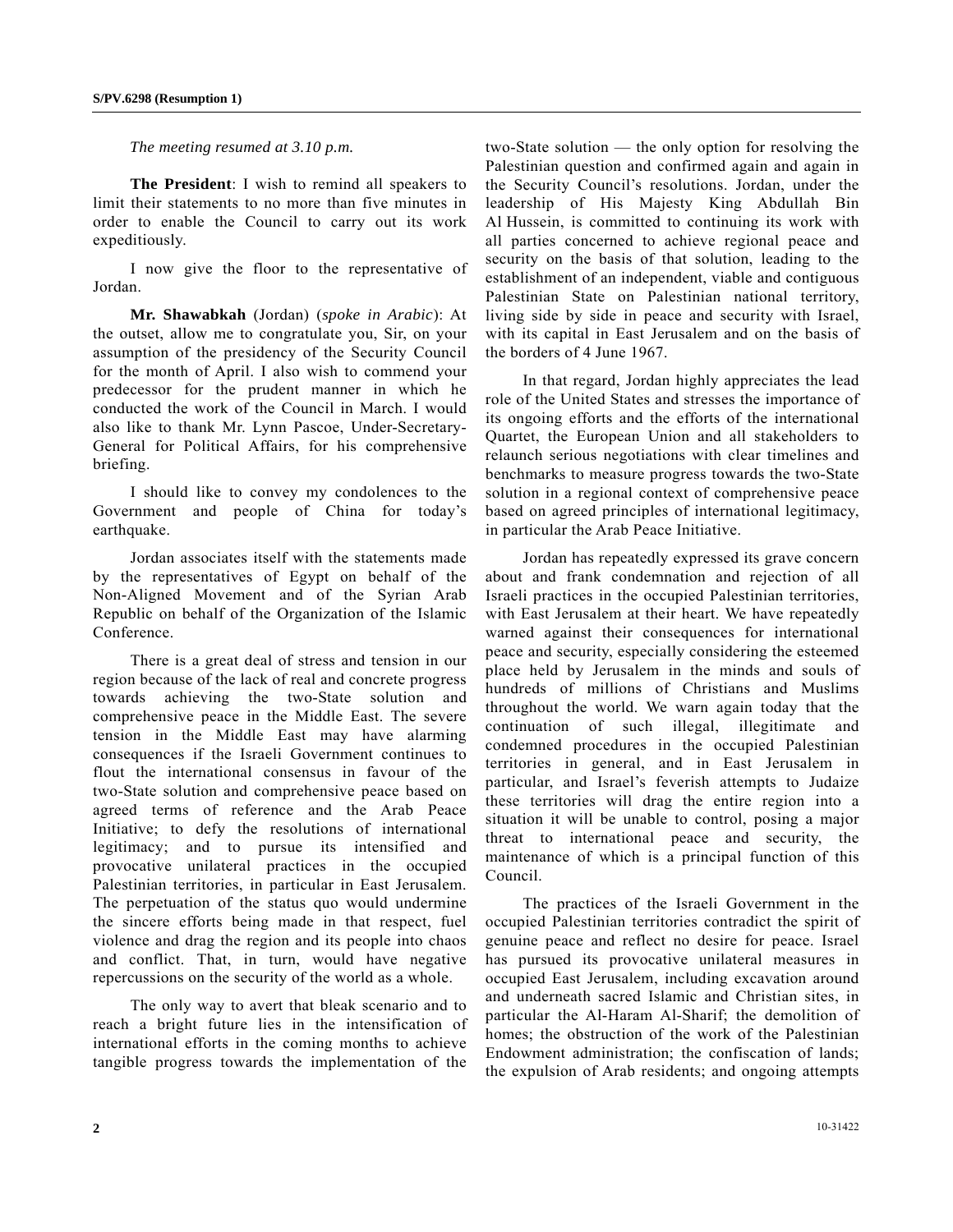*The meeting resumed at 3.10 p.m.* 

 **The President**: I wish to remind all speakers to limit their statements to no more than five minutes in order to enable the Council to carry out its work expeditiously.

 I now give the floor to the representative of Jordan.

 **Mr. Shawabkah** (Jordan) (*spoke in Arabic*): At the outset, allow me to congratulate you, Sir, on your assumption of the presidency of the Security Council for the month of April. I also wish to commend your predecessor for the prudent manner in which he conducted the work of the Council in March. I would also like to thank Mr. Lynn Pascoe, Under-Secretary-General for Political Affairs, for his comprehensive briefing.

 I should like to convey my condolences to the Government and people of China for today's earthquake.

 Jordan associates itself with the statements made by the representatives of Egypt on behalf of the Non-Aligned Movement and of the Syrian Arab Republic on behalf of the Organization of the Islamic Conference.

 There is a great deal of stress and tension in our region because of the lack of real and concrete progress towards achieving the two-State solution and comprehensive peace in the Middle East. The severe tension in the Middle East may have alarming consequences if the Israeli Government continues to flout the international consensus in favour of the two-State solution and comprehensive peace based on agreed terms of reference and the Arab Peace Initiative; to defy the resolutions of international legitimacy; and to pursue its intensified and provocative unilateral practices in the occupied Palestinian territories, in particular in East Jerusalem. The perpetuation of the status quo would undermine the sincere efforts being made in that respect, fuel violence and drag the region and its people into chaos and conflict. That, in turn, would have negative repercussions on the security of the world as a whole.

 The only way to avert that bleak scenario and to reach a bright future lies in the intensification of international efforts in the coming months to achieve tangible progress towards the implementation of the

two-State solution — the only option for resolving the Palestinian question and confirmed again and again in the Security Council's resolutions. Jordan, under the leadership of His Majesty King Abdullah Bin Al Hussein, is committed to continuing its work with all parties concerned to achieve regional peace and security on the basis of that solution, leading to the establishment of an independent, viable and contiguous Palestinian State on Palestinian national territory, living side by side in peace and security with Israel, with its capital in East Jerusalem and on the basis of the borders of 4 June 1967.

 In that regard, Jordan highly appreciates the lead role of the United States and stresses the importance of its ongoing efforts and the efforts of the international Quartet, the European Union and all stakeholders to relaunch serious negotiations with clear timelines and benchmarks to measure progress towards the two-State solution in a regional context of comprehensive peace based on agreed principles of international legitimacy, in particular the Arab Peace Initiative.

 Jordan has repeatedly expressed its grave concern about and frank condemnation and rejection of all Israeli practices in the occupied Palestinian territories, with East Jerusalem at their heart. We have repeatedly warned against their consequences for international peace and security, especially considering the esteemed place held by Jerusalem in the minds and souls of hundreds of millions of Christians and Muslims throughout the world. We warn again today that the continuation of such illegal, illegitimate and condemned procedures in the occupied Palestinian territories in general, and in East Jerusalem in particular, and Israel's feverish attempts to Judaize these territories will drag the entire region into a situation it will be unable to control, posing a major threat to international peace and security, the maintenance of which is a principal function of this Council.

 The practices of the Israeli Government in the occupied Palestinian territories contradict the spirit of genuine peace and reflect no desire for peace. Israel has pursued its provocative unilateral measures in occupied East Jerusalem, including excavation around and underneath sacred Islamic and Christian sites, in particular the Al-Haram Al-Sharif; the demolition of homes; the obstruction of the work of the Palestinian Endowment administration; the confiscation of lands; the expulsion of Arab residents; and ongoing attempts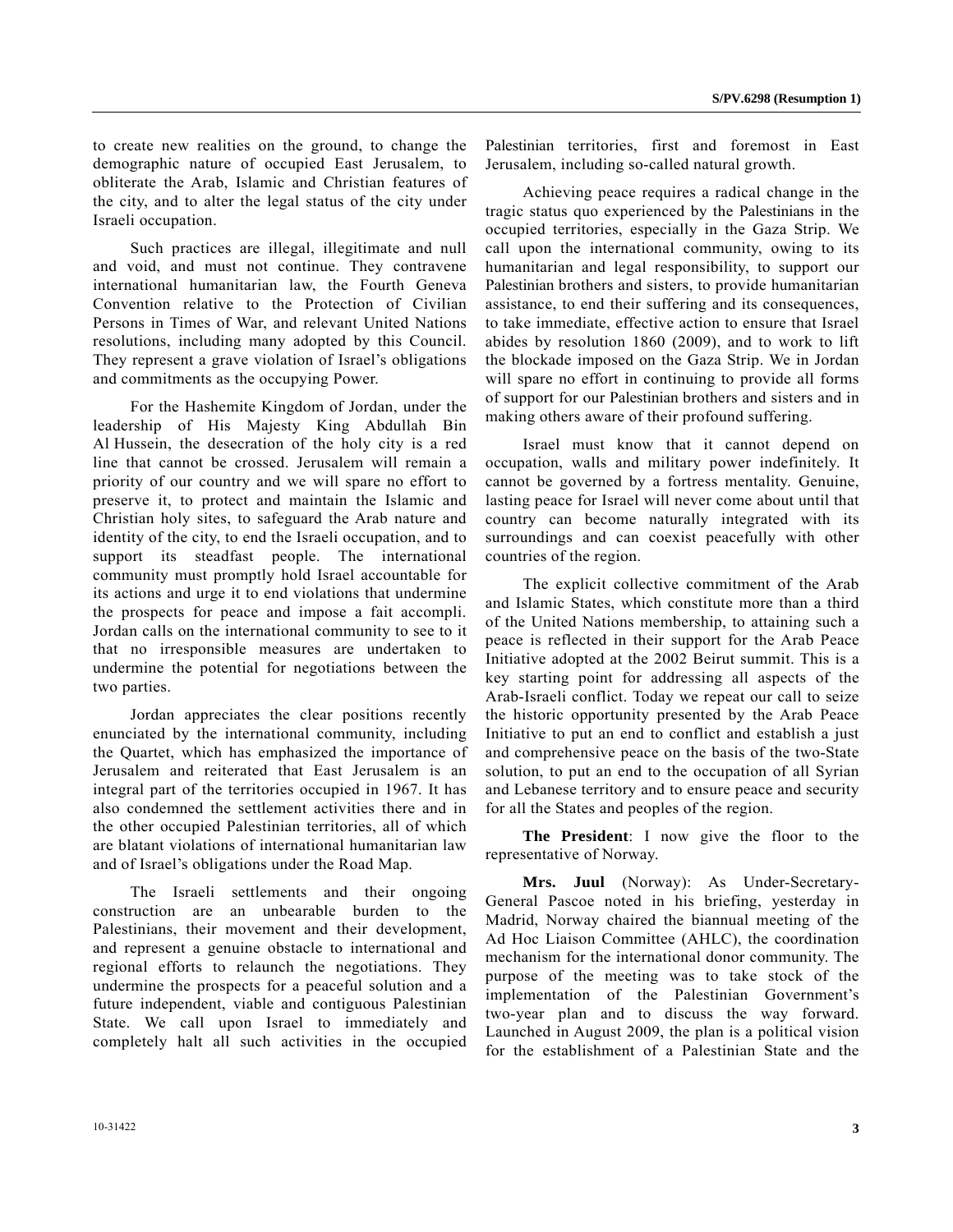to create new realities on the ground, to change the demographic nature of occupied East Jerusalem, to obliterate the Arab, Islamic and Christian features of the city, and to alter the legal status of the city under Israeli occupation.

 Such practices are illegal, illegitimate and null and void, and must not continue. They contravene international humanitarian law, the Fourth Geneva Convention relative to the Protection of Civilian Persons in Times of War, and relevant United Nations resolutions, including many adopted by this Council. They represent a grave violation of Israel's obligations and commitments as the occupying Power.

 For the Hashemite Kingdom of Jordan, under the leadership of His Majesty King Abdullah Bin Al Hussein, the desecration of the holy city is a red line that cannot be crossed. Jerusalem will remain a priority of our country and we will spare no effort to preserve it, to protect and maintain the Islamic and Christian holy sites, to safeguard the Arab nature and identity of the city, to end the Israeli occupation, and to support its steadfast people. The international community must promptly hold Israel accountable for its actions and urge it to end violations that undermine the prospects for peace and impose a fait accompli. Jordan calls on the international community to see to it that no irresponsible measures are undertaken to undermine the potential for negotiations between the two parties.

 Jordan appreciates the clear positions recently enunciated by the international community, including the Quartet, which has emphasized the importance of Jerusalem and reiterated that East Jerusalem is an integral part of the territories occupied in 1967. It has also condemned the settlement activities there and in the other occupied Palestinian territories, all of which are blatant violations of international humanitarian law and of Israel's obligations under the Road Map.

 The Israeli settlements and their ongoing construction are an unbearable burden to the Palestinians, their movement and their development, and represent a genuine obstacle to international and regional efforts to relaunch the negotiations. They undermine the prospects for a peaceful solution and a future independent, viable and contiguous Palestinian State. We call upon Israel to immediately and completely halt all such activities in the occupied

Palestinian territories, first and foremost in East Jerusalem, including so-called natural growth.

 Achieving peace requires a radical change in the tragic status quo experienced by the Palestinians in the occupied territories, especially in the Gaza Strip. We call upon the international community, owing to its humanitarian and legal responsibility, to support our Palestinian brothers and sisters, to provide humanitarian assistance, to end their suffering and its consequences, to take immediate, effective action to ensure that Israel abides by resolution 1860 (2009), and to work to lift the blockade imposed on the Gaza Strip. We in Jordan will spare no effort in continuing to provide all forms of support for our Palestinian brothers and sisters and in making others aware of their profound suffering.

 Israel must know that it cannot depend on occupation, walls and military power indefinitely. It cannot be governed by a fortress mentality. Genuine, lasting peace for Israel will never come about until that country can become naturally integrated with its surroundings and can coexist peacefully with other countries of the region.

 The explicit collective commitment of the Arab and Islamic States, which constitute more than a third of the United Nations membership, to attaining such a peace is reflected in their support for the Arab Peace Initiative adopted at the 2002 Beirut summit. This is a key starting point for addressing all aspects of the Arab-Israeli conflict. Today we repeat our call to seize the historic opportunity presented by the Arab Peace Initiative to put an end to conflict and establish a just and comprehensive peace on the basis of the two-State solution, to put an end to the occupation of all Syrian and Lebanese territory and to ensure peace and security for all the States and peoples of the region.

**The President**: I now give the floor to the representative of Norway.

**Mrs. Juul** (Norway): As Under-Secretary-General Pascoe noted in his briefing, yesterday in Madrid, Norway chaired the biannual meeting of the Ad Hoc Liaison Committee (AHLC), the coordination mechanism for the international donor community. The purpose of the meeting was to take stock of the implementation of the Palestinian Government's two-year plan and to discuss the way forward. Launched in August 2009, the plan is a political vision for the establishment of a Palestinian State and the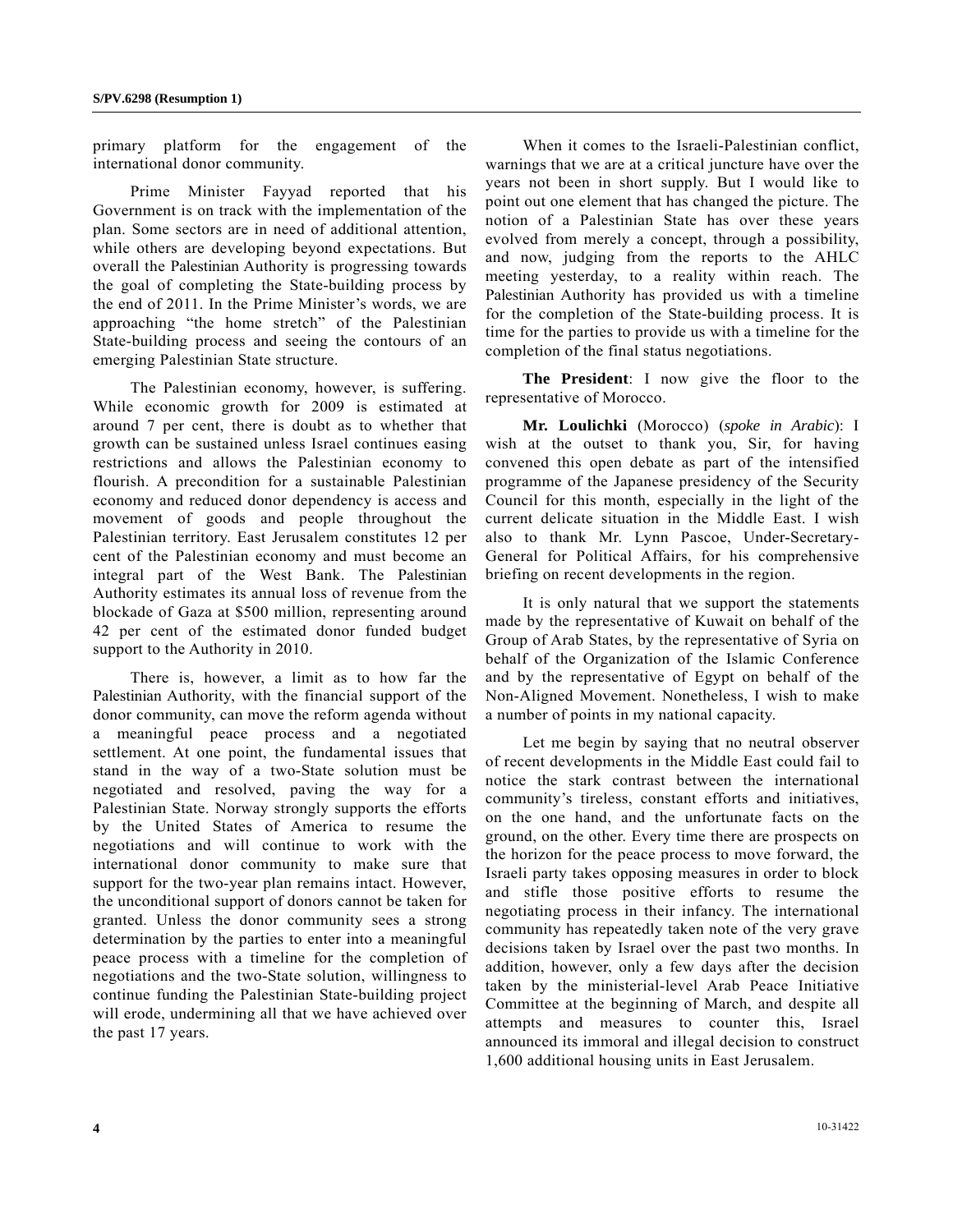primary platform for the engagement of the international donor community.

 Prime Minister Fayyad reported that his Government is on track with the implementation of the plan. Some sectors are in need of additional attention, while others are developing beyond expectations. But overall the Palestinian Authority is progressing towards the goal of completing the State-building process by the end of 2011. In the Prime Minister's words, we are approaching "the home stretch" of the Palestinian State-building process and seeing the contours of an emerging Palestinian State structure.

 The Palestinian economy, however, is suffering. While economic growth for 2009 is estimated at around 7 per cent, there is doubt as to whether that growth can be sustained unless Israel continues easing restrictions and allows the Palestinian economy to flourish. A precondition for a sustainable Palestinian economy and reduced donor dependency is access and movement of goods and people throughout the Palestinian territory. East Jerusalem constitutes 12 per cent of the Palestinian economy and must become an integral part of the West Bank. The Palestinian Authority estimates its annual loss of revenue from the blockade of Gaza at \$500 million, representing around 42 per cent of the estimated donor funded budget support to the Authority in 2010.

 There is, however, a limit as to how far the Palestinian Authority, with the financial support of the donor community, can move the reform agenda without a meaningful peace process and a negotiated settlement. At one point, the fundamental issues that stand in the way of a two-State solution must be negotiated and resolved, paving the way for a Palestinian State. Norway strongly supports the efforts by the United States of America to resume the negotiations and will continue to work with the international donor community to make sure that support for the two-year plan remains intact. However, the unconditional support of donors cannot be taken for granted. Unless the donor community sees a strong determination by the parties to enter into a meaningful peace process with a timeline for the completion of negotiations and the two-State solution, willingness to continue funding the Palestinian State-building project will erode, undermining all that we have achieved over the past 17 years.

 When it comes to the Israeli-Palestinian conflict, warnings that we are at a critical juncture have over the years not been in short supply. But I would like to point out one element that has changed the picture. The notion of a Palestinian State has over these years evolved from merely a concept, through a possibility, and now, judging from the reports to the AHLC meeting yesterday, to a reality within reach. The Palestinian Authority has provided us with a timeline for the completion of the State-building process. It is time for the parties to provide us with a timeline for the completion of the final status negotiations.

**The President**: I now give the floor to the representative of Morocco.

**Mr. Loulichki** (Morocco) (*spoke in Arabic*): I wish at the outset to thank you, Sir, for having convened this open debate as part of the intensified programme of the Japanese presidency of the Security Council for this month, especially in the light of the current delicate situation in the Middle East. I wish also to thank Mr. Lynn Pascoe, Under-Secretary-General for Political Affairs, for his comprehensive briefing on recent developments in the region.

 It is only natural that we support the statements made by the representative of Kuwait on behalf of the Group of Arab States, by the representative of Syria on behalf of the Organization of the Islamic Conference and by the representative of Egypt on behalf of the Non-Aligned Movement. Nonetheless, I wish to make a number of points in my national capacity.

 Let me begin by saying that no neutral observer of recent developments in the Middle East could fail to notice the stark contrast between the international community's tireless, constant efforts and initiatives, on the one hand, and the unfortunate facts on the ground, on the other. Every time there are prospects on the horizon for the peace process to move forward, the Israeli party takes opposing measures in order to block and stifle those positive efforts to resume the negotiating process in their infancy. The international community has repeatedly taken note of the very grave decisions taken by Israel over the past two months. In addition, however, only a few days after the decision taken by the ministerial-level Arab Peace Initiative Committee at the beginning of March, and despite all attempts and measures to counter this, Israel announced its immoral and illegal decision to construct 1,600 additional housing units in East Jerusalem.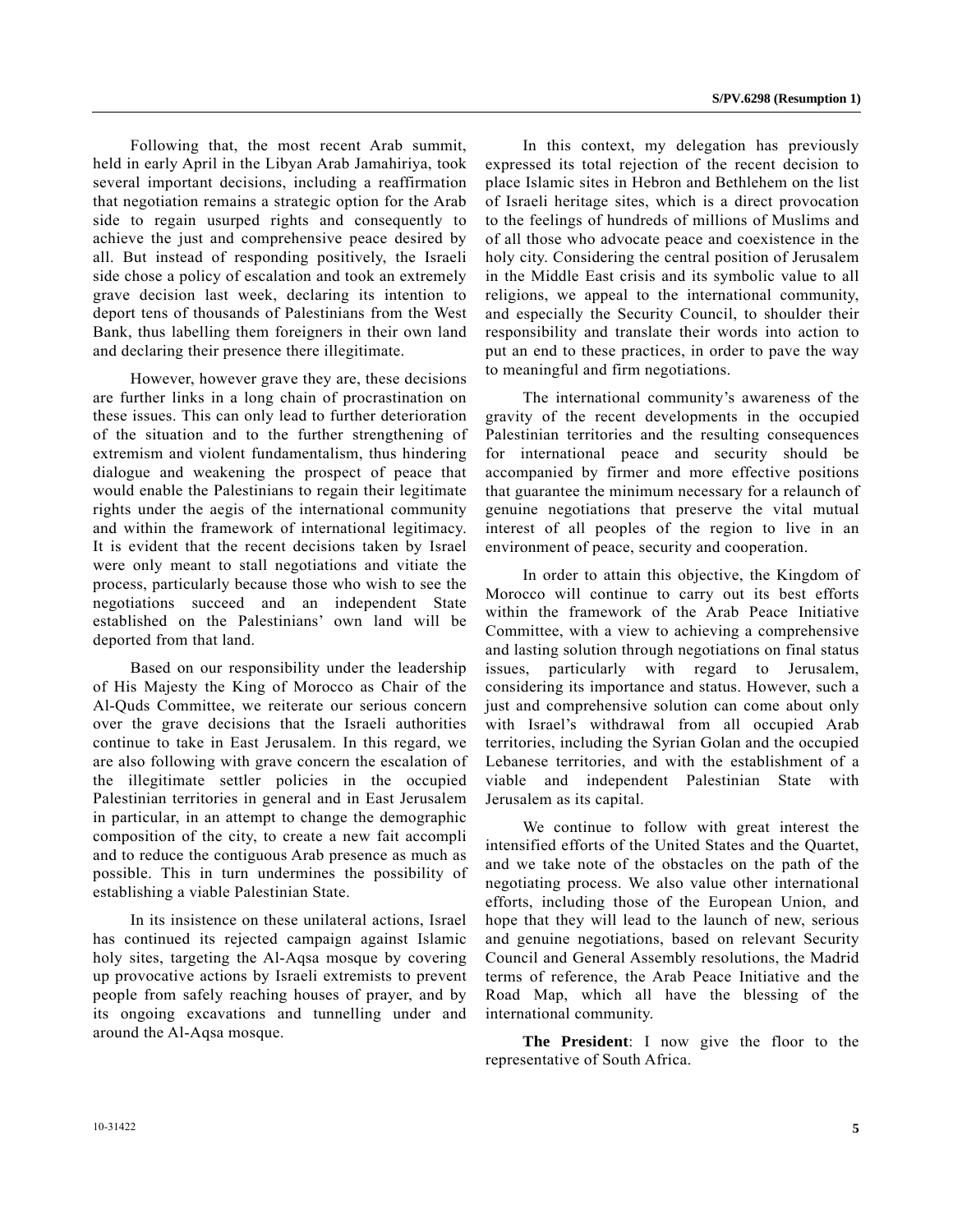Following that, the most recent Arab summit, held in early April in the Libyan Arab Jamahiriya, took several important decisions, including a reaffirmation that negotiation remains a strategic option for the Arab side to regain usurped rights and consequently to achieve the just and comprehensive peace desired by all. But instead of responding positively, the Israeli side chose a policy of escalation and took an extremely grave decision last week, declaring its intention to deport tens of thousands of Palestinians from the West Bank, thus labelling them foreigners in their own land and declaring their presence there illegitimate.

 However, however grave they are, these decisions are further links in a long chain of procrastination on these issues. This can only lead to further deterioration of the situation and to the further strengthening of extremism and violent fundamentalism, thus hindering dialogue and weakening the prospect of peace that would enable the Palestinians to regain their legitimate rights under the aegis of the international community and within the framework of international legitimacy. It is evident that the recent decisions taken by Israel were only meant to stall negotiations and vitiate the process, particularly because those who wish to see the negotiations succeed and an independent State established on the Palestinians' own land will be deported from that land.

 Based on our responsibility under the leadership of His Majesty the King of Morocco as Chair of the Al-Quds Committee, we reiterate our serious concern over the grave decisions that the Israeli authorities continue to take in East Jerusalem. In this regard, we are also following with grave concern the escalation of the illegitimate settler policies in the occupied Palestinian territories in general and in East Jerusalem in particular, in an attempt to change the demographic composition of the city, to create a new fait accompli and to reduce the contiguous Arab presence as much as possible. This in turn undermines the possibility of establishing a viable Palestinian State.

 In its insistence on these unilateral actions, Israel has continued its rejected campaign against Islamic holy sites, targeting the Al-Aqsa mosque by covering up provocative actions by Israeli extremists to prevent people from safely reaching houses of prayer, and by its ongoing excavations and tunnelling under and around the Al-Aqsa mosque.

 In this context, my delegation has previously expressed its total rejection of the recent decision to place Islamic sites in Hebron and Bethlehem on the list of Israeli heritage sites, which is a direct provocation to the feelings of hundreds of millions of Muslims and of all those who advocate peace and coexistence in the holy city. Considering the central position of Jerusalem in the Middle East crisis and its symbolic value to all religions, we appeal to the international community, and especially the Security Council, to shoulder their responsibility and translate their words into action to put an end to these practices, in order to pave the way to meaningful and firm negotiations.

 The international community's awareness of the gravity of the recent developments in the occupied Palestinian territories and the resulting consequences for international peace and security should be accompanied by firmer and more effective positions that guarantee the minimum necessary for a relaunch of genuine negotiations that preserve the vital mutual interest of all peoples of the region to live in an environment of peace, security and cooperation.

 In order to attain this objective, the Kingdom of Morocco will continue to carry out its best efforts within the framework of the Arab Peace Initiative Committee, with a view to achieving a comprehensive and lasting solution through negotiations on final status issues, particularly with regard to Jerusalem, considering its importance and status. However, such a just and comprehensive solution can come about only with Israel's withdrawal from all occupied Arab territories, including the Syrian Golan and the occupied Lebanese territories, and with the establishment of a viable and independent Palestinian State with Jerusalem as its capital.

 We continue to follow with great interest the intensified efforts of the United States and the Quartet, and we take note of the obstacles on the path of the negotiating process. We also value other international efforts, including those of the European Union, and hope that they will lead to the launch of new, serious and genuine negotiations, based on relevant Security Council and General Assembly resolutions, the Madrid terms of reference, the Arab Peace Initiative and the Road Map, which all have the blessing of the international community.

**The President**: I now give the floor to the representative of South Africa.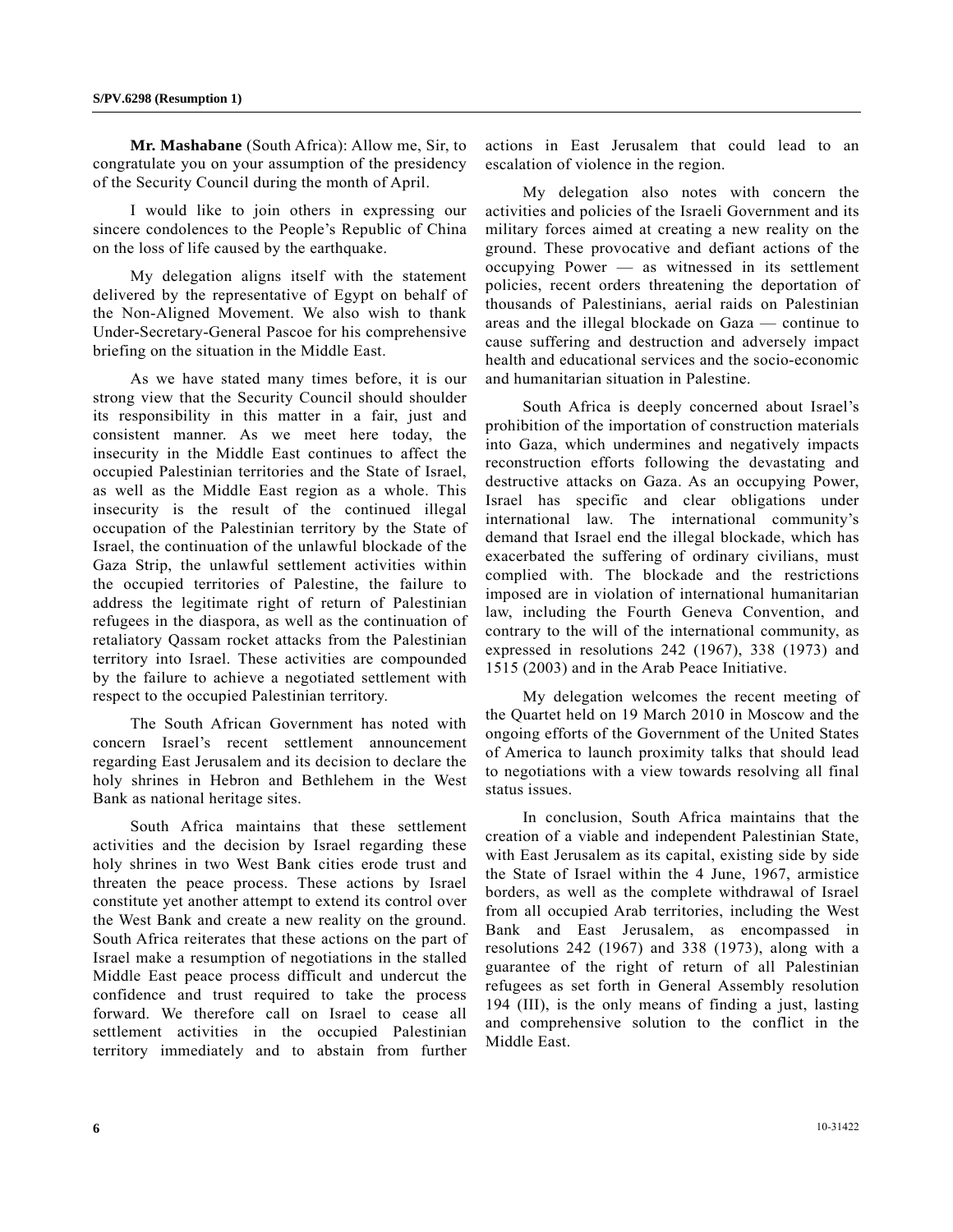**Mr. Mashabane** (South Africa): Allow me, Sir, to congratulate you on your assumption of the presidency of the Security Council during the month of April.

 I would like to join others in expressing our sincere condolences to the People's Republic of China on the loss of life caused by the earthquake.

 My delegation aligns itself with the statement delivered by the representative of Egypt on behalf of the Non-Aligned Movement. We also wish to thank Under-Secretary-General Pascoe for his comprehensive briefing on the situation in the Middle East.

 As we have stated many times before, it is our strong view that the Security Council should shoulder its responsibility in this matter in a fair, just and consistent manner. As we meet here today, the insecurity in the Middle East continues to affect the occupied Palestinian territories and the State of Israel, as well as the Middle East region as a whole. This insecurity is the result of the continued illegal occupation of the Palestinian territory by the State of Israel, the continuation of the unlawful blockade of the Gaza Strip, the unlawful settlement activities within the occupied territories of Palestine, the failure to address the legitimate right of return of Palestinian refugees in the diaspora, as well as the continuation of retaliatory Qassam rocket attacks from the Palestinian territory into Israel. These activities are compounded by the failure to achieve a negotiated settlement with respect to the occupied Palestinian territory.

 The South African Government has noted with concern Israel's recent settlement announcement regarding East Jerusalem and its decision to declare the holy shrines in Hebron and Bethlehem in the West Bank as national heritage sites.

 South Africa maintains that these settlement activities and the decision by Israel regarding these holy shrines in two West Bank cities erode trust and threaten the peace process. These actions by Israel constitute yet another attempt to extend its control over the West Bank and create a new reality on the ground. South Africa reiterates that these actions on the part of Israel make a resumption of negotiations in the stalled Middle East peace process difficult and undercut the confidence and trust required to take the process forward. We therefore call on Israel to cease all settlement activities in the occupied Palestinian territory immediately and to abstain from further actions in East Jerusalem that could lead to an escalation of violence in the region.

 My delegation also notes with concern the activities and policies of the Israeli Government and its military forces aimed at creating a new reality on the ground. These provocative and defiant actions of the occupying Power — as witnessed in its settlement policies, recent orders threatening the deportation of thousands of Palestinians, aerial raids on Palestinian areas and the illegal blockade on Gaza — continue to cause suffering and destruction and adversely impact health and educational services and the socio-economic and humanitarian situation in Palestine.

 South Africa is deeply concerned about Israel's prohibition of the importation of construction materials into Gaza, which undermines and negatively impacts reconstruction efforts following the devastating and destructive attacks on Gaza. As an occupying Power, Israel has specific and clear obligations under international law. The international community's demand that Israel end the illegal blockade, which has exacerbated the suffering of ordinary civilians, must complied with. The blockade and the restrictions imposed are in violation of international humanitarian law, including the Fourth Geneva Convention, and contrary to the will of the international community, as expressed in resolutions 242 (1967), 338 (1973) and 1515 (2003) and in the Arab Peace Initiative.

 My delegation welcomes the recent meeting of the Quartet held on 19 March 2010 in Moscow and the ongoing efforts of the Government of the United States of America to launch proximity talks that should lead to negotiations with a view towards resolving all final status issues.

 In conclusion, South Africa maintains that the creation of a viable and independent Palestinian State, with East Jerusalem as its capital, existing side by side the State of Israel within the 4 June, 1967, armistice borders, as well as the complete withdrawal of Israel from all occupied Arab territories, including the West Bank and East Jerusalem, as encompassed in resolutions 242 (1967) and 338 (1973), along with a guarantee of the right of return of all Palestinian refugees as set forth in General Assembly resolution 194 (III), is the only means of finding a just, lasting and comprehensive solution to the conflict in the Middle East.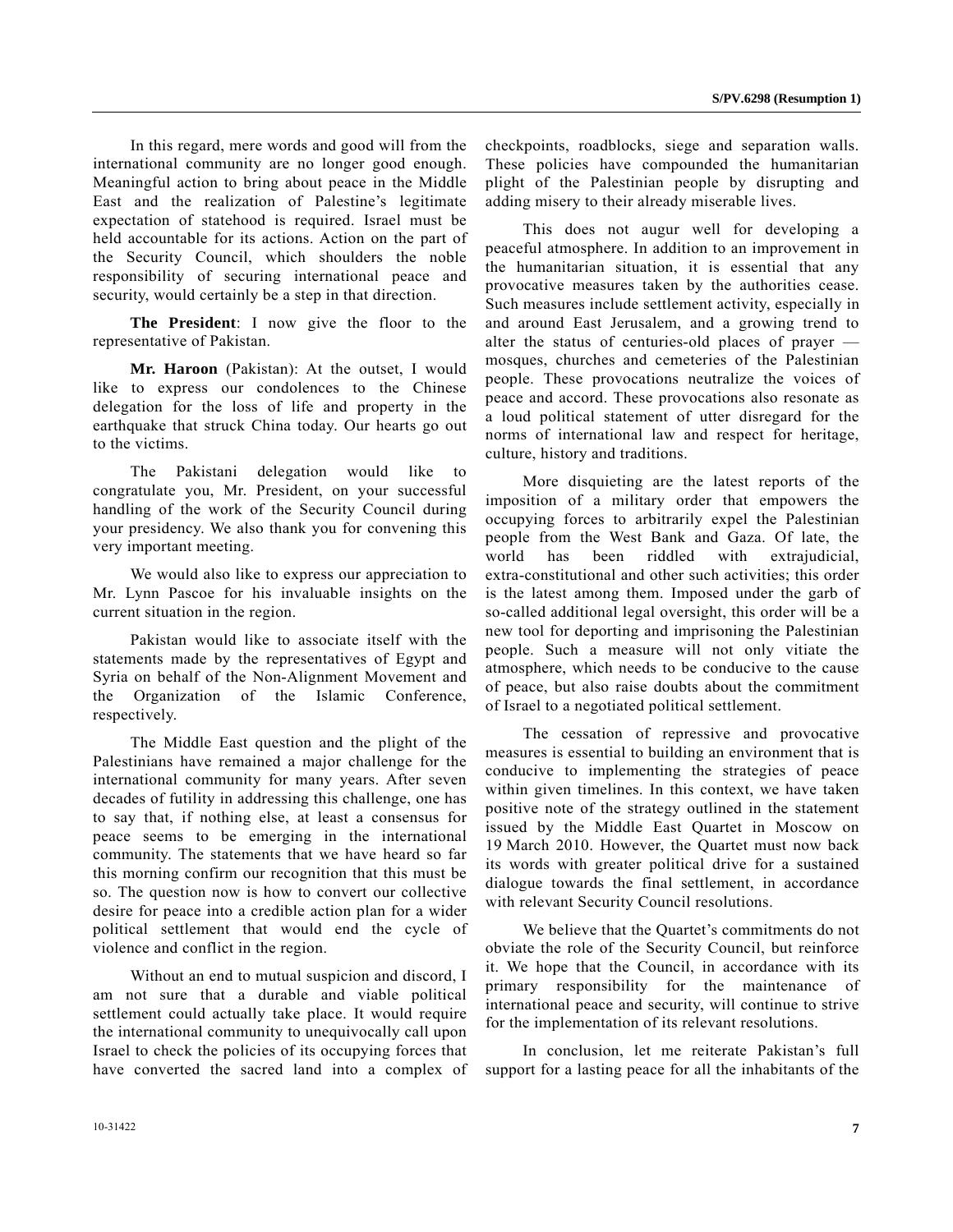In this regard, mere words and good will from the international community are no longer good enough. Meaningful action to bring about peace in the Middle East and the realization of Palestine's legitimate expectation of statehood is required. Israel must be held accountable for its actions. Action on the part of the Security Council, which shoulders the noble responsibility of securing international peace and security, would certainly be a step in that direction.

**The President**: I now give the floor to the representative of Pakistan.

**Mr. Haroon** (Pakistan): At the outset, I would like to express our condolences to the Chinese delegation for the loss of life and property in the earthquake that struck China today. Our hearts go out to the victims.

 The Pakistani delegation would like to congratulate you, Mr. President, on your successful handling of the work of the Security Council during your presidency. We also thank you for convening this very important meeting.

 We would also like to express our appreciation to Mr. Lynn Pascoe for his invaluable insights on the current situation in the region.

 Pakistan would like to associate itself with the statements made by the representatives of Egypt and Syria on behalf of the Non-Alignment Movement and the Organization of the Islamic Conference, respectively.

 The Middle East question and the plight of the Palestinians have remained a major challenge for the international community for many years. After seven decades of futility in addressing this challenge, one has to say that, if nothing else, at least a consensus for peace seems to be emerging in the international community. The statements that we have heard so far this morning confirm our recognition that this must be so. The question now is how to convert our collective desire for peace into a credible action plan for a wider political settlement that would end the cycle of violence and conflict in the region.

 Without an end to mutual suspicion and discord, I am not sure that a durable and viable political settlement could actually take place. It would require the international community to unequivocally call upon Israel to check the policies of its occupying forces that have converted the sacred land into a complex of checkpoints, roadblocks, siege and separation walls. These policies have compounded the humanitarian plight of the Palestinian people by disrupting and adding misery to their already miserable lives.

 This does not augur well for developing a peaceful atmosphere. In addition to an improvement in the humanitarian situation, it is essential that any provocative measures taken by the authorities cease. Such measures include settlement activity, especially in and around East Jerusalem, and a growing trend to alter the status of centuries-old places of prayer mosques, churches and cemeteries of the Palestinian people. These provocations neutralize the voices of peace and accord. These provocations also resonate as a loud political statement of utter disregard for the norms of international law and respect for heritage, culture, history and traditions.

 More disquieting are the latest reports of the imposition of a military order that empowers the occupying forces to arbitrarily expel the Palestinian people from the West Bank and Gaza. Of late, the world has been riddled with extrajudicial, extra-constitutional and other such activities; this order is the latest among them. Imposed under the garb of so-called additional legal oversight, this order will be a new tool for deporting and imprisoning the Palestinian people. Such a measure will not only vitiate the atmosphere, which needs to be conducive to the cause of peace, but also raise doubts about the commitment of Israel to a negotiated political settlement.

 The cessation of repressive and provocative measures is essential to building an environment that is conducive to implementing the strategies of peace within given timelines. In this context, we have taken positive note of the strategy outlined in the statement issued by the Middle East Quartet in Moscow on 19 March 2010. However, the Quartet must now back its words with greater political drive for a sustained dialogue towards the final settlement, in accordance with relevant Security Council resolutions.

 We believe that the Quartet's commitments do not obviate the role of the Security Council, but reinforce it. We hope that the Council, in accordance with its primary responsibility for the maintenance of international peace and security, will continue to strive for the implementation of its relevant resolutions.

 In conclusion, let me reiterate Pakistan's full support for a lasting peace for all the inhabitants of the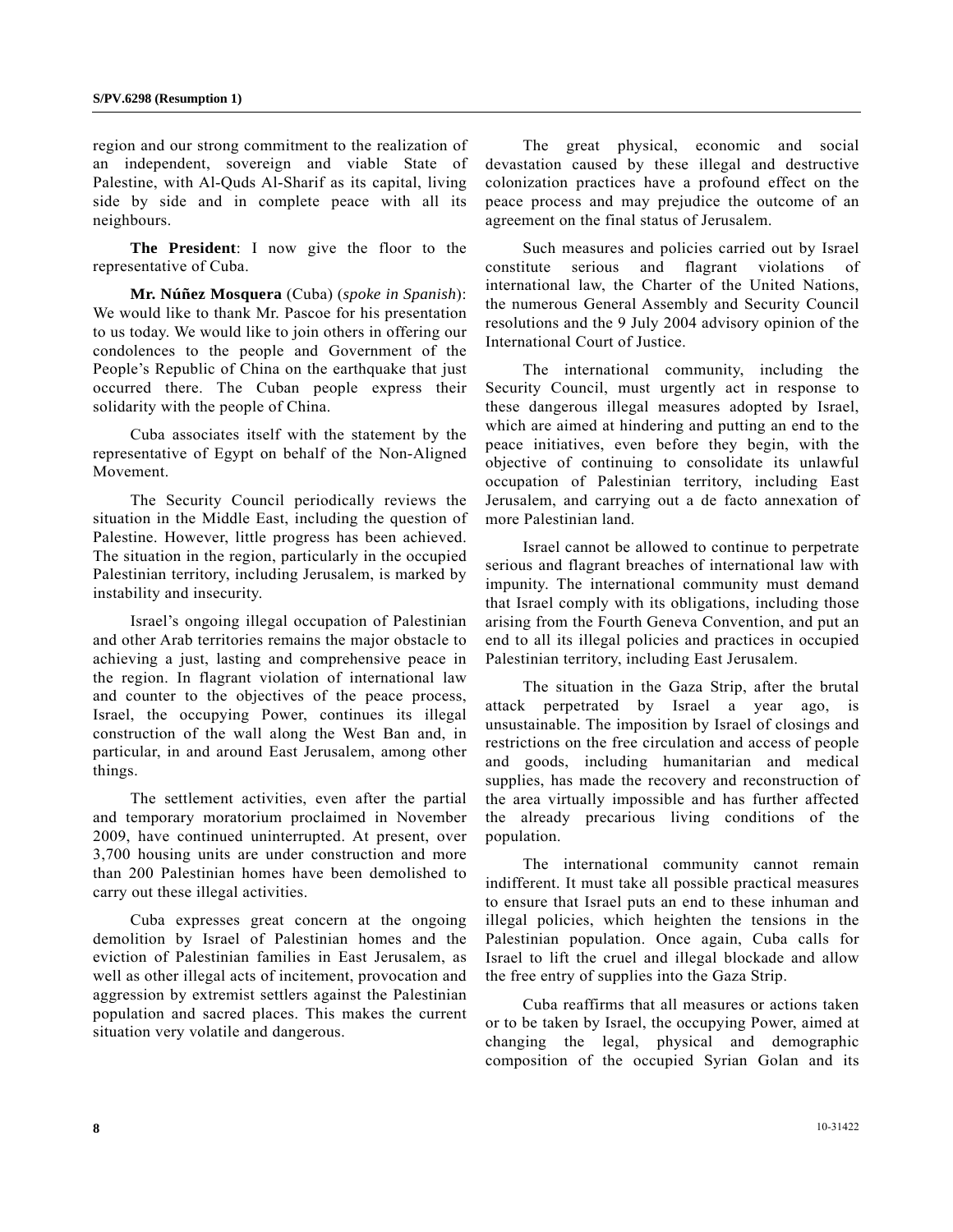region and our strong commitment to the realization of an independent, sovereign and viable State of Palestine, with Al-Quds Al-Sharif as its capital, living side by side and in complete peace with all its neighbours.

**The President**: I now give the floor to the representative of Cuba.

**Mr. Núñez Mosquera** (Cuba) (*spoke in Spanish*): We would like to thank Mr. Pascoe for his presentation to us today. We would like to join others in offering our condolences to the people and Government of the People's Republic of China on the earthquake that just occurred there. The Cuban people express their solidarity with the people of China.

 Cuba associates itself with the statement by the representative of Egypt on behalf of the Non-Aligned Movement.

 The Security Council periodically reviews the situation in the Middle East, including the question of Palestine. However, little progress has been achieved. The situation in the region, particularly in the occupied Palestinian territory, including Jerusalem, is marked by instability and insecurity.

 Israel's ongoing illegal occupation of Palestinian and other Arab territories remains the major obstacle to achieving a just, lasting and comprehensive peace in the region. In flagrant violation of international law and counter to the objectives of the peace process, Israel, the occupying Power, continues its illegal construction of the wall along the West Ban and, in particular, in and around East Jerusalem, among other things.

 The settlement activities, even after the partial and temporary moratorium proclaimed in November 2009, have continued uninterrupted. At present, over 3,700 housing units are under construction and more than 200 Palestinian homes have been demolished to carry out these illegal activities.

 Cuba expresses great concern at the ongoing demolition by Israel of Palestinian homes and the eviction of Palestinian families in East Jerusalem, as well as other illegal acts of incitement, provocation and aggression by extremist settlers against the Palestinian population and sacred places. This makes the current situation very volatile and dangerous.

 The great physical, economic and social devastation caused by these illegal and destructive colonization practices have a profound effect on the peace process and may prejudice the outcome of an agreement on the final status of Jerusalem.

 Such measures and policies carried out by Israel constitute serious and flagrant violations international law, the Charter of the United Nations, the numerous General Assembly and Security Council resolutions and the 9 July 2004 advisory opinion of the International Court of Justice.

 The international community, including the Security Council, must urgently act in response to these dangerous illegal measures adopted by Israel, which are aimed at hindering and putting an end to the peace initiatives, even before they begin, with the objective of continuing to consolidate its unlawful occupation of Palestinian territory, including East Jerusalem, and carrying out a de facto annexation of more Palestinian land.

 Israel cannot be allowed to continue to perpetrate serious and flagrant breaches of international law with impunity. The international community must demand that Israel comply with its obligations, including those arising from the Fourth Geneva Convention, and put an end to all its illegal policies and practices in occupied Palestinian territory, including East Jerusalem.

 The situation in the Gaza Strip, after the brutal attack perpetrated by Israel a year ago, is unsustainable. The imposition by Israel of closings and restrictions on the free circulation and access of people and goods, including humanitarian and medical supplies, has made the recovery and reconstruction of the area virtually impossible and has further affected the already precarious living conditions of the population.

 The international community cannot remain indifferent. It must take all possible practical measures to ensure that Israel puts an end to these inhuman and illegal policies, which heighten the tensions in the Palestinian population. Once again, Cuba calls for Israel to lift the cruel and illegal blockade and allow the free entry of supplies into the Gaza Strip.

 Cuba reaffirms that all measures or actions taken or to be taken by Israel, the occupying Power, aimed at changing the legal, physical and demographic composition of the occupied Syrian Golan and its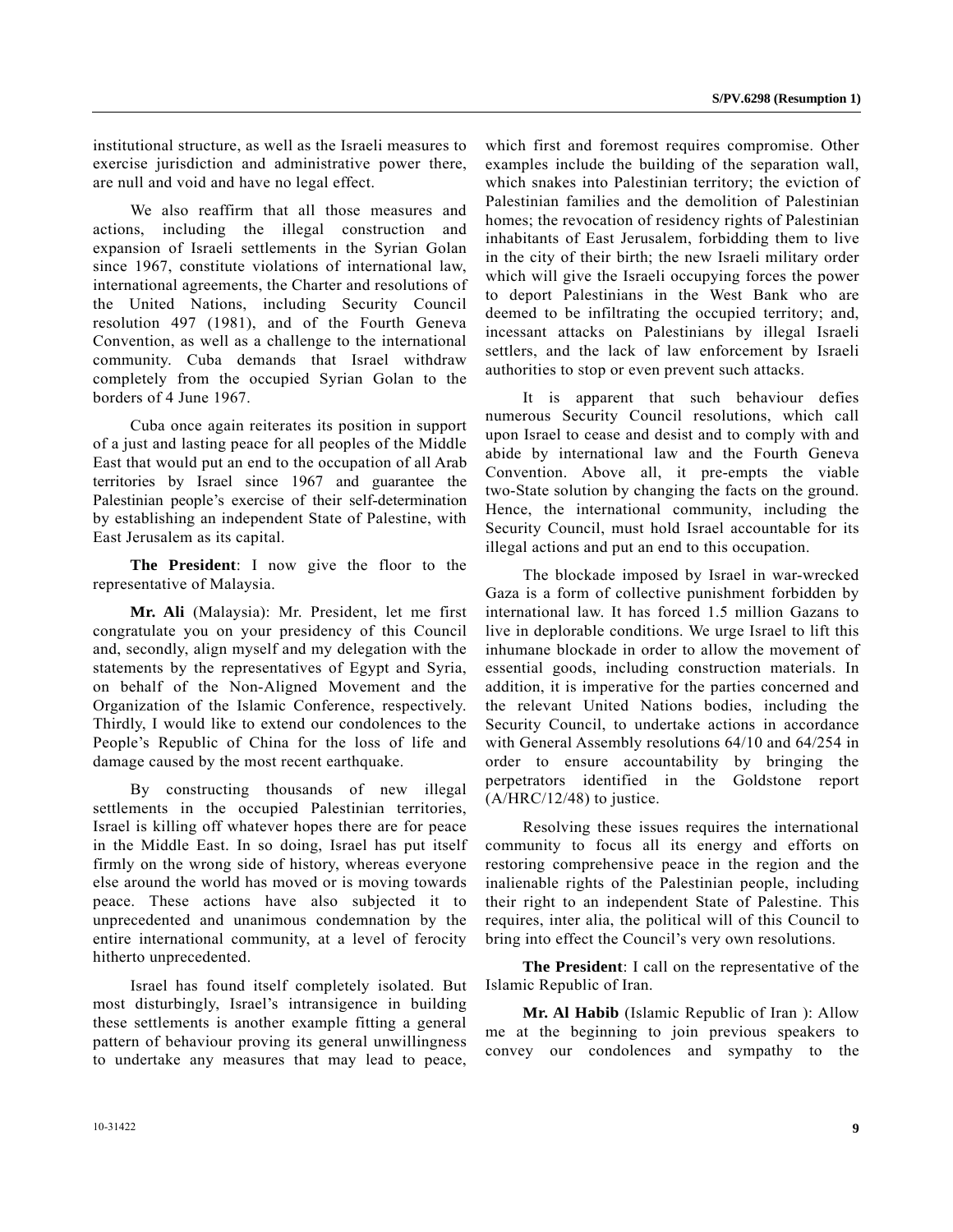institutional structure, as well as the Israeli measures to exercise jurisdiction and administrative power there, are null and void and have no legal effect.

 We also reaffirm that all those measures and actions, including the illegal construction and expansion of Israeli settlements in the Syrian Golan since 1967, constitute violations of international law, international agreements, the Charter and resolutions of the United Nations, including Security Council resolution 497 (1981), and of the Fourth Geneva Convention, as well as a challenge to the international community. Cuba demands that Israel withdraw completely from the occupied Syrian Golan to the borders of 4 June 1967.

 Cuba once again reiterates its position in support of a just and lasting peace for all peoples of the Middle East that would put an end to the occupation of all Arab territories by Israel since 1967 and guarantee the Palestinian people's exercise of their self-determination by establishing an independent State of Palestine, with East Jerusalem as its capital.

**The President**: I now give the floor to the representative of Malaysia.

**Mr. Ali** (Malaysia): Mr. President, let me first congratulate you on your presidency of this Council and, secondly, align myself and my delegation with the statements by the representatives of Egypt and Syria, on behalf of the Non-Aligned Movement and the Organization of the Islamic Conference, respectively. Thirdly, I would like to extend our condolences to the People's Republic of China for the loss of life and damage caused by the most recent earthquake.

 By constructing thousands of new illegal settlements in the occupied Palestinian territories, Israel is killing off whatever hopes there are for peace in the Middle East. In so doing, Israel has put itself firmly on the wrong side of history, whereas everyone else around the world has moved or is moving towards peace. These actions have also subjected it to unprecedented and unanimous condemnation by the entire international community, at a level of ferocity hitherto unprecedented.

 Israel has found itself completely isolated. But most disturbingly, Israel's intransigence in building these settlements is another example fitting a general pattern of behaviour proving its general unwillingness to undertake any measures that may lead to peace,

which first and foremost requires compromise. Other examples include the building of the separation wall, which snakes into Palestinian territory; the eviction of Palestinian families and the demolition of Palestinian homes; the revocation of residency rights of Palestinian inhabitants of East Jerusalem, forbidding them to live in the city of their birth; the new Israeli military order which will give the Israeli occupying forces the power to deport Palestinians in the West Bank who are deemed to be infiltrating the occupied territory; and, incessant attacks on Palestinians by illegal Israeli settlers, and the lack of law enforcement by Israeli authorities to stop or even prevent such attacks.

 It is apparent that such behaviour defies numerous Security Council resolutions, which call upon Israel to cease and desist and to comply with and abide by international law and the Fourth Geneva Convention. Above all, it pre-empts the viable two-State solution by changing the facts on the ground. Hence, the international community, including the Security Council, must hold Israel accountable for its illegal actions and put an end to this occupation.

 The blockade imposed by Israel in war-wrecked Gaza is a form of collective punishment forbidden by international law. It has forced 1.5 million Gazans to live in deplorable conditions. We urge Israel to lift this inhumane blockade in order to allow the movement of essential goods, including construction materials. In addition, it is imperative for the parties concerned and the relevant United Nations bodies, including the Security Council, to undertake actions in accordance with General Assembly resolutions 64/10 and 64/254 in order to ensure accountability by bringing the perpetrators identified in the Goldstone report  $(A/HRC/12/48)$  to justice.

 Resolving these issues requires the international community to focus all its energy and efforts on restoring comprehensive peace in the region and the inalienable rights of the Palestinian people, including their right to an independent State of Palestine. This requires, inter alia, the political will of this Council to bring into effect the Council's very own resolutions.

**The President**: I call on the representative of the Islamic Republic of Iran.

**Mr. Al Habib** (Islamic Republic of Iran ): Allow me at the beginning to join previous speakers to convey our condolences and sympathy to the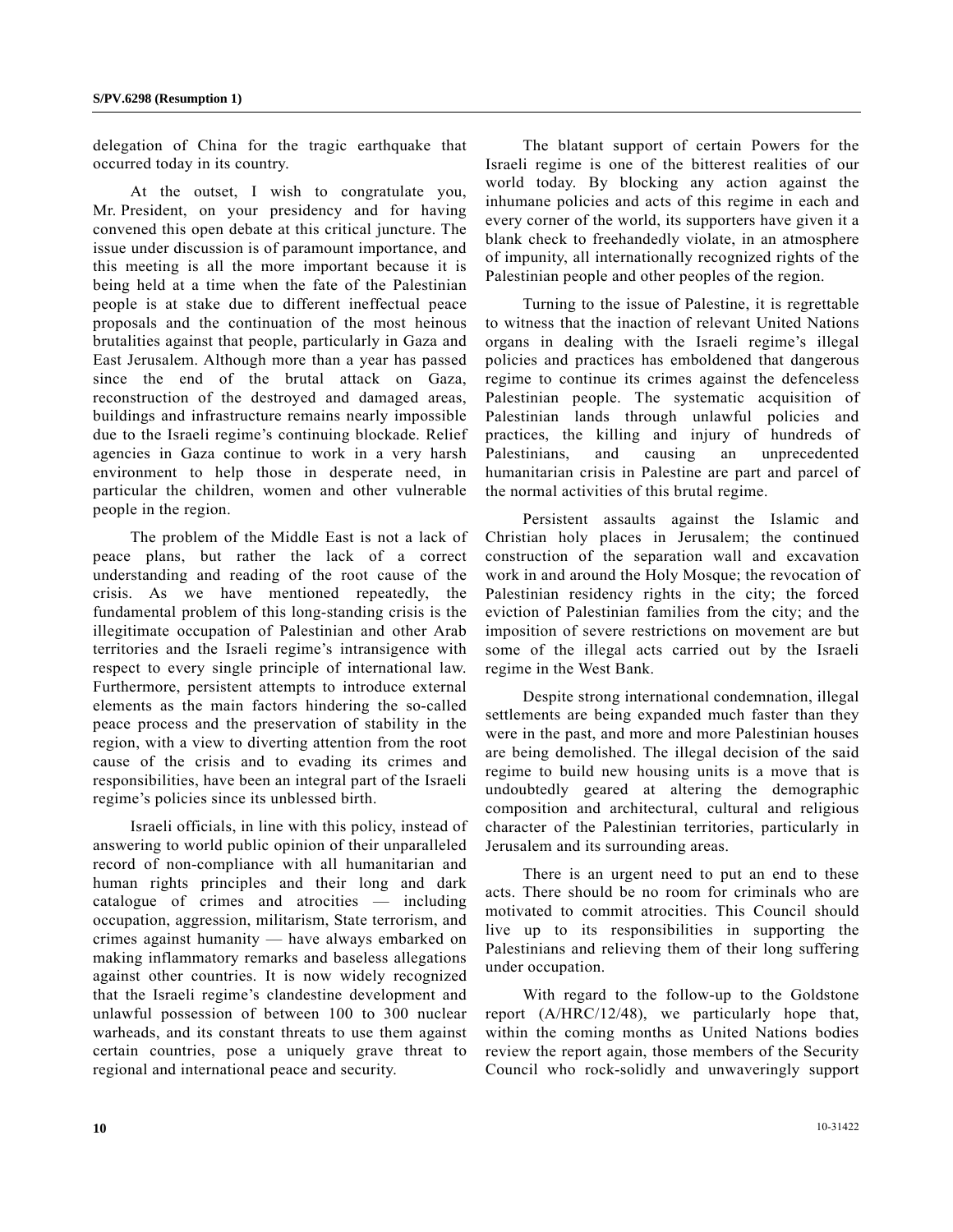delegation of China for the tragic earthquake that occurred today in its country.

 At the outset, I wish to congratulate you, Mr. President, on your presidency and for having convened this open debate at this critical juncture. The issue under discussion is of paramount importance, and this meeting is all the more important because it is being held at a time when the fate of the Palestinian people is at stake due to different ineffectual peace proposals and the continuation of the most heinous brutalities against that people, particularly in Gaza and East Jerusalem. Although more than a year has passed since the end of the brutal attack on Gaza, reconstruction of the destroyed and damaged areas, buildings and infrastructure remains nearly impossible due to the Israeli regime's continuing blockade. Relief agencies in Gaza continue to work in a very harsh environment to help those in desperate need, in particular the children, women and other vulnerable people in the region.

 The problem of the Middle East is not a lack of peace plans, but rather the lack of a correct understanding and reading of the root cause of the crisis. As we have mentioned repeatedly, the fundamental problem of this long-standing crisis is the illegitimate occupation of Palestinian and other Arab territories and the Israeli regime's intransigence with respect to every single principle of international law. Furthermore, persistent attempts to introduce external elements as the main factors hindering the so-called peace process and the preservation of stability in the region, with a view to diverting attention from the root cause of the crisis and to evading its crimes and responsibilities, have been an integral part of the Israeli regime's policies since its unblessed birth.

 Israeli officials, in line with this policy, instead of answering to world public opinion of their unparalleled record of non-compliance with all humanitarian and human rights principles and their long and dark catalogue of crimes and atrocities — including occupation, aggression, militarism, State terrorism, and crimes against humanity — have always embarked on making inflammatory remarks and baseless allegations against other countries. It is now widely recognized that the Israeli regime's clandestine development and unlawful possession of between 100 to 300 nuclear warheads, and its constant threats to use them against certain countries, pose a uniquely grave threat to regional and international peace and security.

 The blatant support of certain Powers for the Israeli regime is one of the bitterest realities of our world today. By blocking any action against the inhumane policies and acts of this regime in each and every corner of the world, its supporters have given it a blank check to freehandedly violate, in an atmosphere of impunity, all internationally recognized rights of the Palestinian people and other peoples of the region.

 Turning to the issue of Palestine, it is regrettable to witness that the inaction of relevant United Nations organs in dealing with the Israeli regime's illegal policies and practices has emboldened that dangerous regime to continue its crimes against the defenceless Palestinian people. The systematic acquisition of Palestinian lands through unlawful policies and practices, the killing and injury of hundreds of Palestinians, and causing an unprecedented humanitarian crisis in Palestine are part and parcel of the normal activities of this brutal regime.

 Persistent assaults against the Islamic and Christian holy places in Jerusalem; the continued construction of the separation wall and excavation work in and around the Holy Mosque; the revocation of Palestinian residency rights in the city; the forced eviction of Palestinian families from the city; and the imposition of severe restrictions on movement are but some of the illegal acts carried out by the Israeli regime in the West Bank.

 Despite strong international condemnation, illegal settlements are being expanded much faster than they were in the past, and more and more Palestinian houses are being demolished. The illegal decision of the said regime to build new housing units is a move that is undoubtedly geared at altering the demographic composition and architectural, cultural and religious character of the Palestinian territories, particularly in Jerusalem and its surrounding areas.

 There is an urgent need to put an end to these acts. There should be no room for criminals who are motivated to commit atrocities. This Council should live up to its responsibilities in supporting the Palestinians and relieving them of their long suffering under occupation.

 With regard to the follow-up to the Goldstone report (A/HRC/12/48), we particularly hope that, within the coming months as United Nations bodies review the report again, those members of the Security Council who rock-solidly and unwaveringly support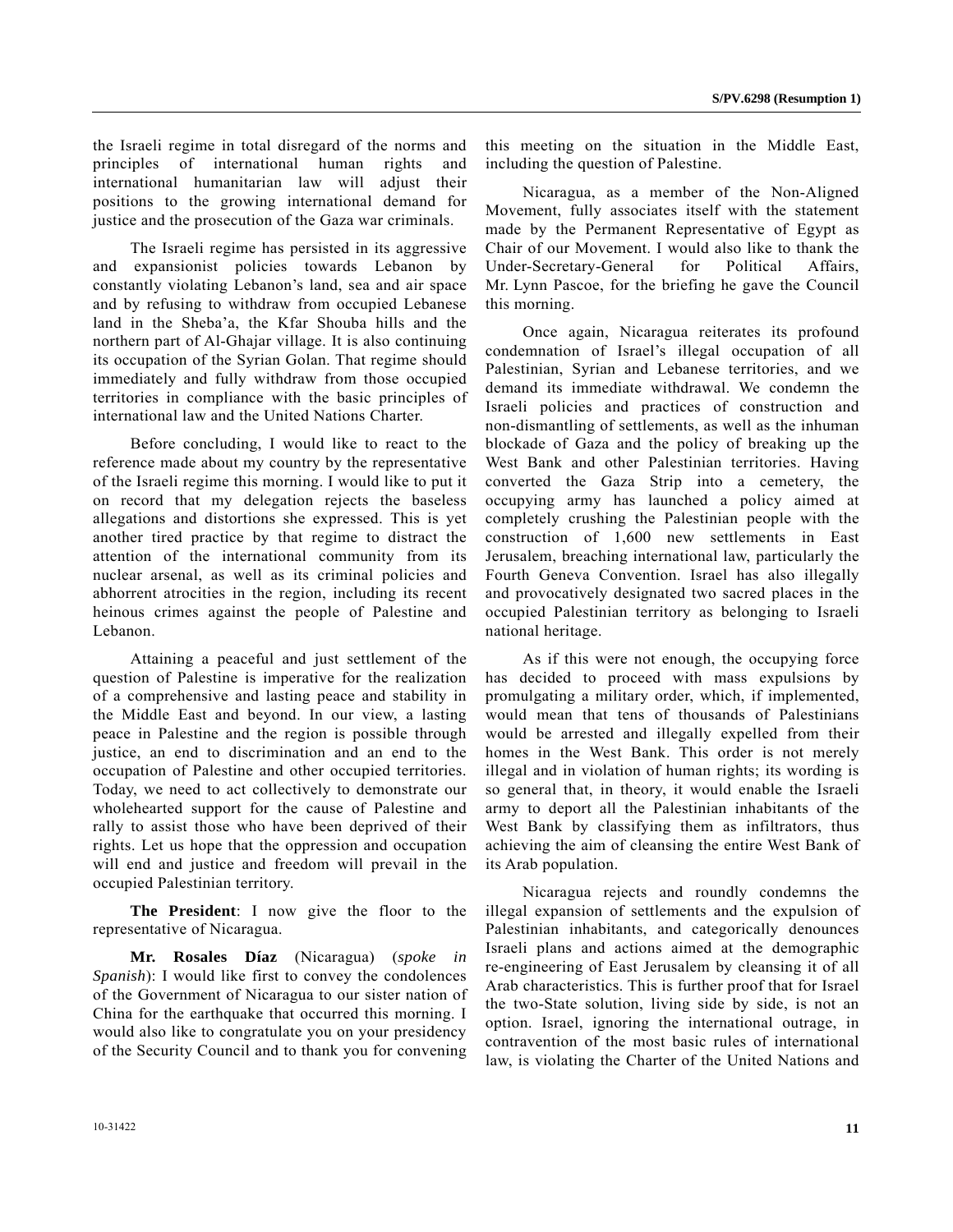the Israeli regime in total disregard of the norms and principles of international human rights and international humanitarian law will adjust their positions to the growing international demand for justice and the prosecution of the Gaza war criminals.

 The Israeli regime has persisted in its aggressive and expansionist policies towards Lebanon by constantly violating Lebanon's land, sea and air space and by refusing to withdraw from occupied Lebanese land in the Sheba'a, the Kfar Shouba hills and the northern part of Al-Ghajar village. It is also continuing its occupation of the Syrian Golan. That regime should immediately and fully withdraw from those occupied territories in compliance with the basic principles of international law and the United Nations Charter.

 Before concluding, I would like to react to the reference made about my country by the representative of the Israeli regime this morning. I would like to put it on record that my delegation rejects the baseless allegations and distortions she expressed. This is yet another tired practice by that regime to distract the attention of the international community from its nuclear arsenal, as well as its criminal policies and abhorrent atrocities in the region, including its recent heinous crimes against the people of Palestine and Lebanon.

 Attaining a peaceful and just settlement of the question of Palestine is imperative for the realization of a comprehensive and lasting peace and stability in the Middle East and beyond. In our view, a lasting peace in Palestine and the region is possible through justice, an end to discrimination and an end to the occupation of Palestine and other occupied territories. Today, we need to act collectively to demonstrate our wholehearted support for the cause of Palestine and rally to assist those who have been deprived of their rights. Let us hope that the oppression and occupation will end and justice and freedom will prevail in the occupied Palestinian territory.

**The President**: I now give the floor to the representative of Nicaragua.

**Mr. Rosales Díaz** (Nicaragua) (*spoke in Spanish*): I would like first to convey the condolences of the Government of Nicaragua to our sister nation of China for the earthquake that occurred this morning. I would also like to congratulate you on your presidency of the Security Council and to thank you for convening

this meeting on the situation in the Middle East, including the question of Palestine.

 Nicaragua, as a member of the Non-Aligned Movement, fully associates itself with the statement made by the Permanent Representative of Egypt as Chair of our Movement. I would also like to thank the Under-Secretary-General for Political Affairs, Mr. Lynn Pascoe, for the briefing he gave the Council this morning.

 Once again, Nicaragua reiterates its profound condemnation of Israel's illegal occupation of all Palestinian, Syrian and Lebanese territories, and we demand its immediate withdrawal. We condemn the Israeli policies and practices of construction and non-dismantling of settlements, as well as the inhuman blockade of Gaza and the policy of breaking up the West Bank and other Palestinian territories. Having converted the Gaza Strip into a cemetery, the occupying army has launched a policy aimed at completely crushing the Palestinian people with the construction of 1,600 new settlements in East Jerusalem, breaching international law, particularly the Fourth Geneva Convention. Israel has also illegally and provocatively designated two sacred places in the occupied Palestinian territory as belonging to Israeli national heritage.

 As if this were not enough, the occupying force has decided to proceed with mass expulsions by promulgating a military order, which, if implemented, would mean that tens of thousands of Palestinians would be arrested and illegally expelled from their homes in the West Bank. This order is not merely illegal and in violation of human rights; its wording is so general that, in theory, it would enable the Israeli army to deport all the Palestinian inhabitants of the West Bank by classifying them as infiltrators, thus achieving the aim of cleansing the entire West Bank of its Arab population.

 Nicaragua rejects and roundly condemns the illegal expansion of settlements and the expulsion of Palestinian inhabitants, and categorically denounces Israeli plans and actions aimed at the demographic re-engineering of East Jerusalem by cleansing it of all Arab characteristics. This is further proof that for Israel the two-State solution, living side by side, is not an option. Israel, ignoring the international outrage, in contravention of the most basic rules of international law, is violating the Charter of the United Nations and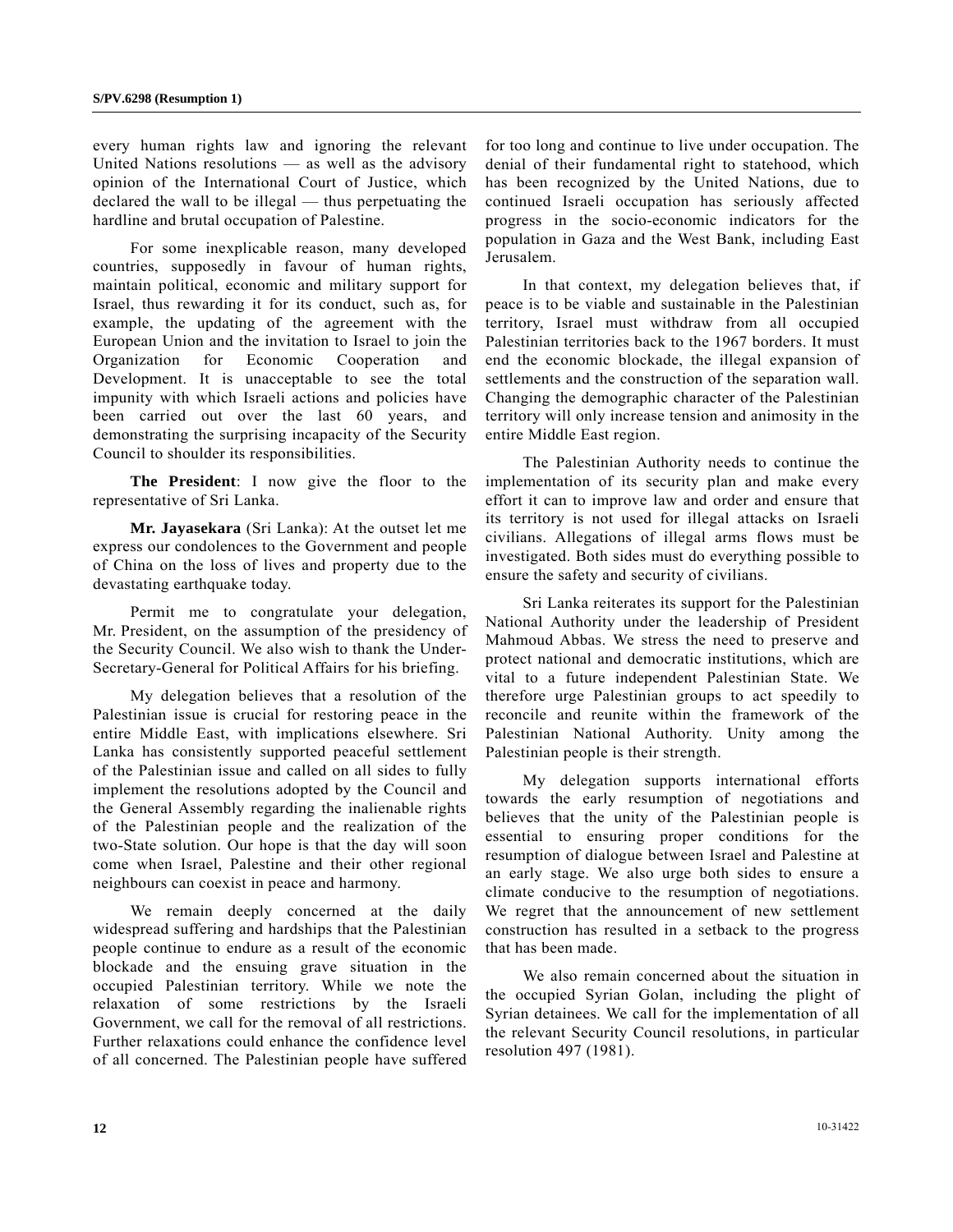every human rights law and ignoring the relevant United Nations resolutions — as well as the advisory opinion of the International Court of Justice, which declared the wall to be illegal — thus perpetuating the hardline and brutal occupation of Palestine.

 For some inexplicable reason, many developed countries, supposedly in favour of human rights, maintain political, economic and military support for Israel, thus rewarding it for its conduct, such as, for example, the updating of the agreement with the European Union and the invitation to Israel to join the Organization for Economic Cooperation and Development. It is unacceptable to see the total impunity with which Israeli actions and policies have been carried out over the last 60 years, and demonstrating the surprising incapacity of the Security Council to shoulder its responsibilities.

**The President**: I now give the floor to the representative of Sri Lanka.

**Mr. Jayasekara** (Sri Lanka): At the outset let me express our condolences to the Government and people of China on the loss of lives and property due to the devastating earthquake today.

 Permit me to congratulate your delegation, Mr. President, on the assumption of the presidency of the Security Council. We also wish to thank the Under-Secretary-General for Political Affairs for his briefing.

 My delegation believes that a resolution of the Palestinian issue is crucial for restoring peace in the entire Middle East, with implications elsewhere. Sri Lanka has consistently supported peaceful settlement of the Palestinian issue and called on all sides to fully implement the resolutions adopted by the Council and the General Assembly regarding the inalienable rights of the Palestinian people and the realization of the two-State solution. Our hope is that the day will soon come when Israel, Palestine and their other regional neighbours can coexist in peace and harmony.

We remain deeply concerned at the daily widespread suffering and hardships that the Palestinian people continue to endure as a result of the economic blockade and the ensuing grave situation in the occupied Palestinian territory. While we note the relaxation of some restrictions by the Israeli Government, we call for the removal of all restrictions. Further relaxations could enhance the confidence level of all concerned. The Palestinian people have suffered

for too long and continue to live under occupation. The denial of their fundamental right to statehood, which has been recognized by the United Nations, due to continued Israeli occupation has seriously affected progress in the socio-economic indicators for the population in Gaza and the West Bank, including East Jerusalem.

 In that context, my delegation believes that, if peace is to be viable and sustainable in the Palestinian territory, Israel must withdraw from all occupied Palestinian territories back to the 1967 borders. It must end the economic blockade, the illegal expansion of settlements and the construction of the separation wall. Changing the demographic character of the Palestinian territory will only increase tension and animosity in the entire Middle East region.

 The Palestinian Authority needs to continue the implementation of its security plan and make every effort it can to improve law and order and ensure that its territory is not used for illegal attacks on Israeli civilians. Allegations of illegal arms flows must be investigated. Both sides must do everything possible to ensure the safety and security of civilians.

 Sri Lanka reiterates its support for the Palestinian National Authority under the leadership of President Mahmoud Abbas. We stress the need to preserve and protect national and democratic institutions, which are vital to a future independent Palestinian State. We therefore urge Palestinian groups to act speedily to reconcile and reunite within the framework of the Palestinian National Authority. Unity among the Palestinian people is their strength.

 My delegation supports international efforts towards the early resumption of negotiations and believes that the unity of the Palestinian people is essential to ensuring proper conditions for the resumption of dialogue between Israel and Palestine at an early stage. We also urge both sides to ensure a climate conducive to the resumption of negotiations. We regret that the announcement of new settlement construction has resulted in a setback to the progress that has been made.

 We also remain concerned about the situation in the occupied Syrian Golan, including the plight of Syrian detainees. We call for the implementation of all the relevant Security Council resolutions, in particular resolution 497 (1981).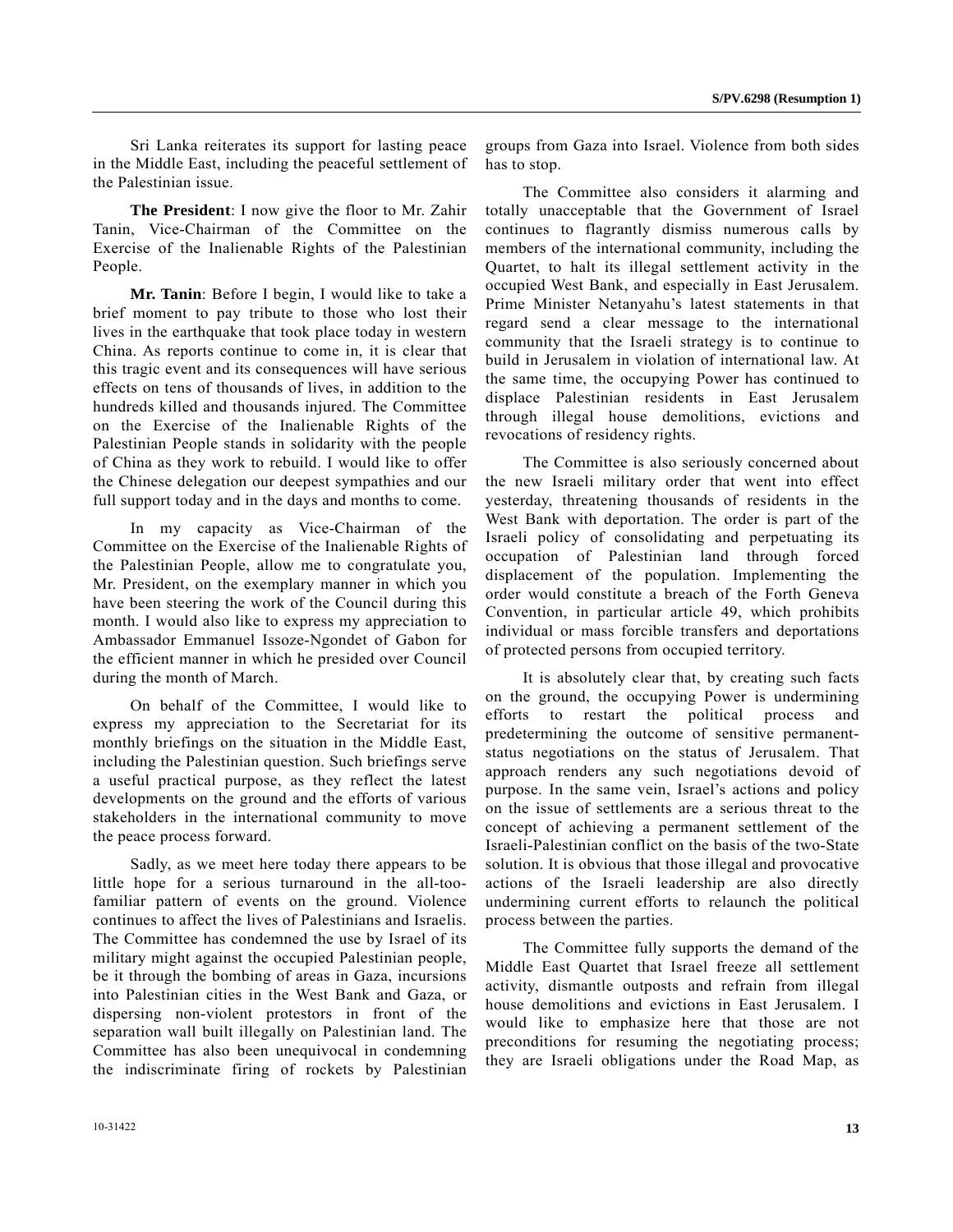Sri Lanka reiterates its support for lasting peace in the Middle East, including the peaceful settlement of the Palestinian issue.

**The President**: I now give the floor to Mr. Zahir Tanin, Vice-Chairman of the Committee on the Exercise of the Inalienable Rights of the Palestinian People.

**Mr. Tanin**: Before I begin, I would like to take a brief moment to pay tribute to those who lost their lives in the earthquake that took place today in western China. As reports continue to come in, it is clear that this tragic event and its consequences will have serious effects on tens of thousands of lives, in addition to the hundreds killed and thousands injured. The Committee on the Exercise of the Inalienable Rights of the Palestinian People stands in solidarity with the people of China as they work to rebuild. I would like to offer the Chinese delegation our deepest sympathies and our full support today and in the days and months to come.

 In my capacity as Vice-Chairman of the Committee on the Exercise of the Inalienable Rights of the Palestinian People, allow me to congratulate you, Mr. President, on the exemplary manner in which you have been steering the work of the Council during this month. I would also like to express my appreciation to Ambassador Emmanuel Issoze-Ngondet of Gabon for the efficient manner in which he presided over Council during the month of March.

 On behalf of the Committee, I would like to express my appreciation to the Secretariat for its monthly briefings on the situation in the Middle East, including the Palestinian question. Such briefings serve a useful practical purpose, as they reflect the latest developments on the ground and the efforts of various stakeholders in the international community to move the peace process forward.

 Sadly, as we meet here today there appears to be little hope for a serious turnaround in the all-toofamiliar pattern of events on the ground. Violence continues to affect the lives of Palestinians and Israelis. The Committee has condemned the use by Israel of its military might against the occupied Palestinian people, be it through the bombing of areas in Gaza, incursions into Palestinian cities in the West Bank and Gaza, or dispersing non-violent protestors in front of the separation wall built illegally on Palestinian land. The Committee has also been unequivocal in condemning the indiscriminate firing of rockets by Palestinian

groups from Gaza into Israel. Violence from both sides has to stop.

 The Committee also considers it alarming and totally unacceptable that the Government of Israel continues to flagrantly dismiss numerous calls by members of the international community, including the Quartet, to halt its illegal settlement activity in the occupied West Bank, and especially in East Jerusalem. Prime Minister Netanyahu's latest statements in that regard send a clear message to the international community that the Israeli strategy is to continue to build in Jerusalem in violation of international law. At the same time, the occupying Power has continued to displace Palestinian residents in East Jerusalem through illegal house demolitions, evictions and revocations of residency rights.

 The Committee is also seriously concerned about the new Israeli military order that went into effect yesterday, threatening thousands of residents in the West Bank with deportation. The order is part of the Israeli policy of consolidating and perpetuating its occupation of Palestinian land through forced displacement of the population. Implementing the order would constitute a breach of the Forth Geneva Convention, in particular article 49, which prohibits individual or mass forcible transfers and deportations of protected persons from occupied territory.

 It is absolutely clear that, by creating such facts on the ground, the occupying Power is undermining efforts to restart the political process and predetermining the outcome of sensitive permanentstatus negotiations on the status of Jerusalem. That approach renders any such negotiations devoid of purpose. In the same vein, Israel's actions and policy on the issue of settlements are a serious threat to the concept of achieving a permanent settlement of the Israeli-Palestinian conflict on the basis of the two-State solution. It is obvious that those illegal and provocative actions of the Israeli leadership are also directly undermining current efforts to relaunch the political process between the parties.

 The Committee fully supports the demand of the Middle East Quartet that Israel freeze all settlement activity, dismantle outposts and refrain from illegal house demolitions and evictions in East Jerusalem. I would like to emphasize here that those are not preconditions for resuming the negotiating process; they are Israeli obligations under the Road Map, as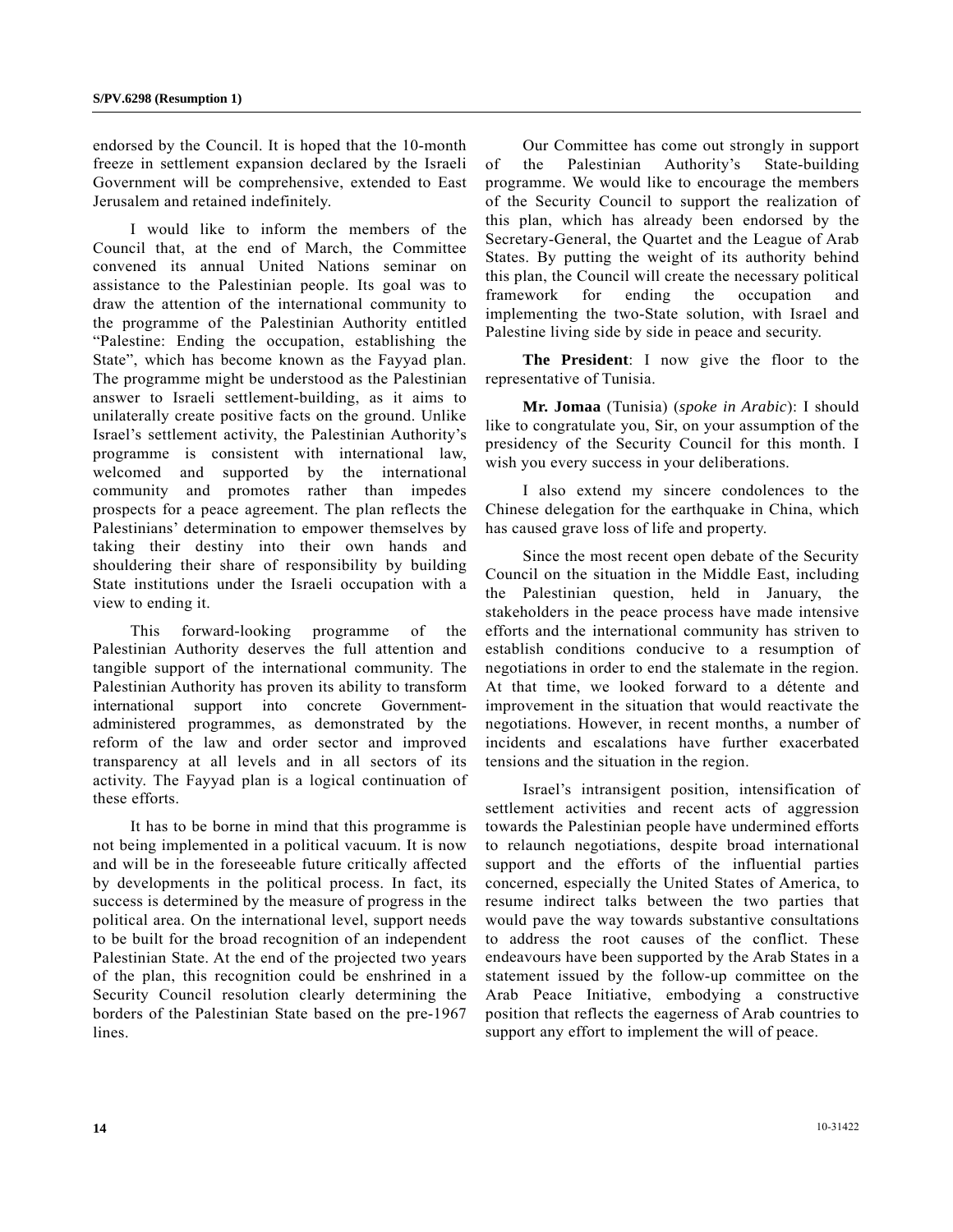endorsed by the Council. It is hoped that the 10-month freeze in settlement expansion declared by the Israeli Government will be comprehensive, extended to East Jerusalem and retained indefinitely.

 I would like to inform the members of the Council that, at the end of March, the Committee convened its annual United Nations seminar on assistance to the Palestinian people. Its goal was to draw the attention of the international community to the programme of the Palestinian Authority entitled "Palestine: Ending the occupation, establishing the State", which has become known as the Fayyad plan. The programme might be understood as the Palestinian answer to Israeli settlement-building, as it aims to unilaterally create positive facts on the ground. Unlike Israel's settlement activity, the Palestinian Authority's programme is consistent with international law, welcomed and supported by the international community and promotes rather than impedes prospects for a peace agreement. The plan reflects the Palestinians' determination to empower themselves by taking their destiny into their own hands and shouldering their share of responsibility by building State institutions under the Israeli occupation with a view to ending it.

 This forward-looking programme of the Palestinian Authority deserves the full attention and tangible support of the international community. The Palestinian Authority has proven its ability to transform international support into concrete Governmentadministered programmes, as demonstrated by the reform of the law and order sector and improved transparency at all levels and in all sectors of its activity. The Fayyad plan is a logical continuation of these efforts.

 It has to be borne in mind that this programme is not being implemented in a political vacuum. It is now and will be in the foreseeable future critically affected by developments in the political process. In fact, its success is determined by the measure of progress in the political area. On the international level, support needs to be built for the broad recognition of an independent Palestinian State. At the end of the projected two years of the plan, this recognition could be enshrined in a Security Council resolution clearly determining the borders of the Palestinian State based on the pre-1967 lines.

 Our Committee has come out strongly in support of the Palestinian Authority's State-building programme. We would like to encourage the members of the Security Council to support the realization of this plan, which has already been endorsed by the Secretary-General, the Quartet and the League of Arab States. By putting the weight of its authority behind this plan, the Council will create the necessary political framework for ending the occupation and implementing the two-State solution, with Israel and Palestine living side by side in peace and security.

**The President**: I now give the floor to the representative of Tunisia.

**Mr. Jomaa** (Tunisia) (*spoke in Arabic*): I should like to congratulate you, Sir, on your assumption of the presidency of the Security Council for this month. I wish you every success in your deliberations.

 I also extend my sincere condolences to the Chinese delegation for the earthquake in China, which has caused grave loss of life and property.

 Since the most recent open debate of the Security Council on the situation in the Middle East, including the Palestinian question, held in January, the stakeholders in the peace process have made intensive efforts and the international community has striven to establish conditions conducive to a resumption of negotiations in order to end the stalemate in the region. At that time, we looked forward to a détente and improvement in the situation that would reactivate the negotiations. However, in recent months, a number of incidents and escalations have further exacerbated tensions and the situation in the region.

 Israel's intransigent position, intensification of settlement activities and recent acts of aggression towards the Palestinian people have undermined efforts to relaunch negotiations, despite broad international support and the efforts of the influential parties concerned, especially the United States of America, to resume indirect talks between the two parties that would pave the way towards substantive consultations to address the root causes of the conflict. These endeavours have been supported by the Arab States in a statement issued by the follow-up committee on the Arab Peace Initiative, embodying a constructive position that reflects the eagerness of Arab countries to support any effort to implement the will of peace.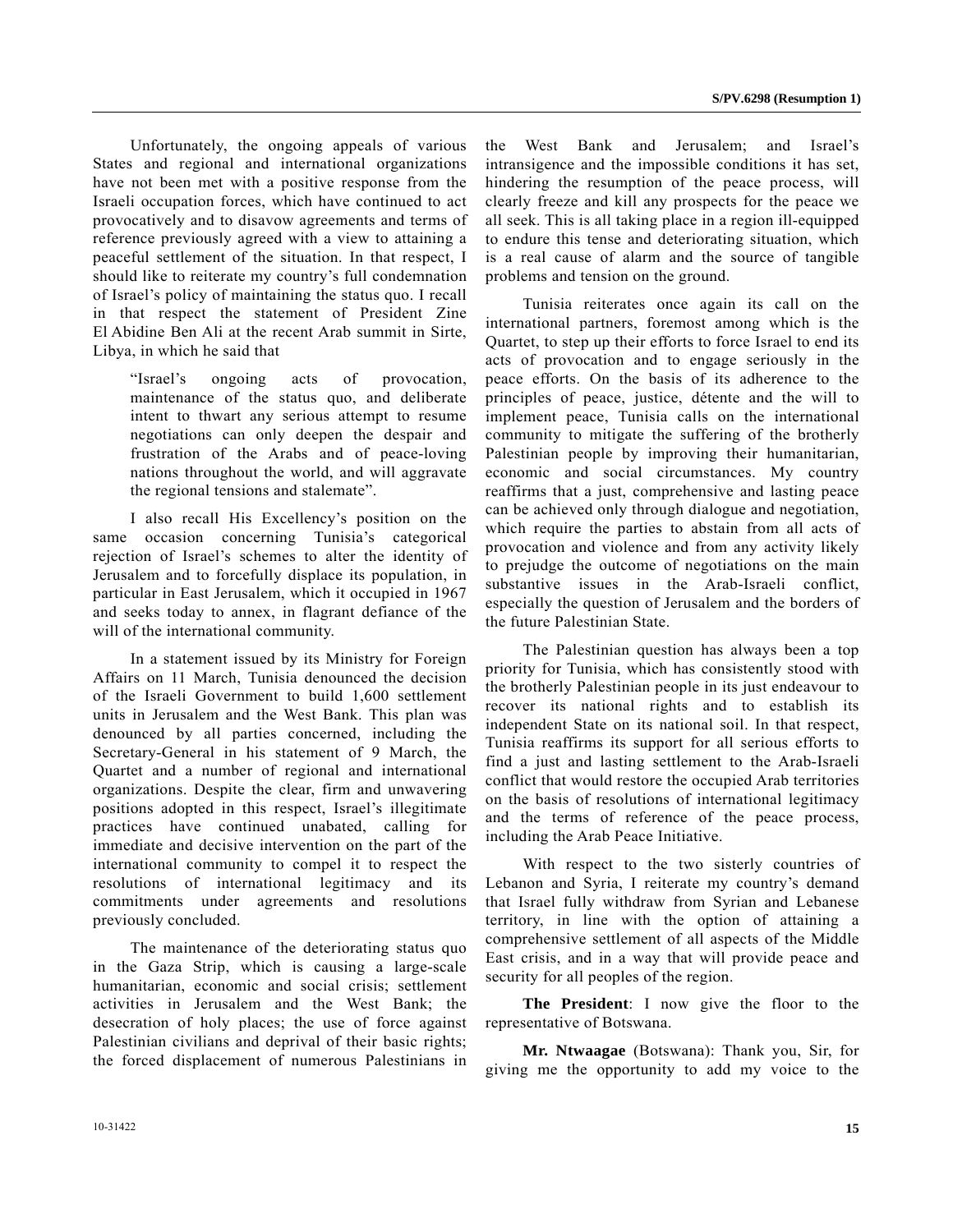Unfortunately, the ongoing appeals of various States and regional and international organizations have not been met with a positive response from the Israeli occupation forces, which have continued to act provocatively and to disavow agreements and terms of reference previously agreed with a view to attaining a peaceful settlement of the situation. In that respect, I should like to reiterate my country's full condemnation of Israel's policy of maintaining the status quo. I recall in that respect the statement of President Zine El Abidine Ben Ali at the recent Arab summit in Sirte, Libya, in which he said that

"Israel's ongoing acts of provocation, maintenance of the status quo, and deliberate intent to thwart any serious attempt to resume negotiations can only deepen the despair and frustration of the Arabs and of peace-loving nations throughout the world, and will aggravate the regional tensions and stalemate".

 I also recall His Excellency's position on the same occasion concerning Tunisia's categorical rejection of Israel's schemes to alter the identity of Jerusalem and to forcefully displace its population, in particular in East Jerusalem, which it occupied in 1967 and seeks today to annex, in flagrant defiance of the will of the international community.

 In a statement issued by its Ministry for Foreign Affairs on 11 March, Tunisia denounced the decision of the Israeli Government to build 1,600 settlement units in Jerusalem and the West Bank. This plan was denounced by all parties concerned, including the Secretary-General in his statement of 9 March, the Quartet and a number of regional and international organizations. Despite the clear, firm and unwavering positions adopted in this respect, Israel's illegitimate practices have continued unabated, calling for immediate and decisive intervention on the part of the international community to compel it to respect the resolutions of international legitimacy and its commitments under agreements and resolutions previously concluded.

 The maintenance of the deteriorating status quo in the Gaza Strip, which is causing a large-scale humanitarian, economic and social crisis; settlement activities in Jerusalem and the West Bank; the desecration of holy places; the use of force against Palestinian civilians and deprival of their basic rights; the forced displacement of numerous Palestinians in

the West Bank and Jerusalem; and Israel's intransigence and the impossible conditions it has set, hindering the resumption of the peace process, will clearly freeze and kill any prospects for the peace we all seek. This is all taking place in a region ill-equipped to endure this tense and deteriorating situation, which is a real cause of alarm and the source of tangible problems and tension on the ground.

 Tunisia reiterates once again its call on the international partners, foremost among which is the Quartet, to step up their efforts to force Israel to end its acts of provocation and to engage seriously in the peace efforts. On the basis of its adherence to the principles of peace, justice, détente and the will to implement peace, Tunisia calls on the international community to mitigate the suffering of the brotherly Palestinian people by improving their humanitarian, economic and social circumstances. My country reaffirms that a just, comprehensive and lasting peace can be achieved only through dialogue and negotiation, which require the parties to abstain from all acts of provocation and violence and from any activity likely to prejudge the outcome of negotiations on the main substantive issues in the Arab-Israeli conflict, especially the question of Jerusalem and the borders of the future Palestinian State.

 The Palestinian question has always been a top priority for Tunisia, which has consistently stood with the brotherly Palestinian people in its just endeavour to recover its national rights and to establish its independent State on its national soil. In that respect, Tunisia reaffirms its support for all serious efforts to find a just and lasting settlement to the Arab-Israeli conflict that would restore the occupied Arab territories on the basis of resolutions of international legitimacy and the terms of reference of the peace process, including the Arab Peace Initiative.

 With respect to the two sisterly countries of Lebanon and Syria, I reiterate my country's demand that Israel fully withdraw from Syrian and Lebanese territory, in line with the option of attaining a comprehensive settlement of all aspects of the Middle East crisis, and in a way that will provide peace and security for all peoples of the region.

**The President**: I now give the floor to the representative of Botswana.

**Mr. Ntwaagae** (Botswana): Thank you, Sir, for giving me the opportunity to add my voice to the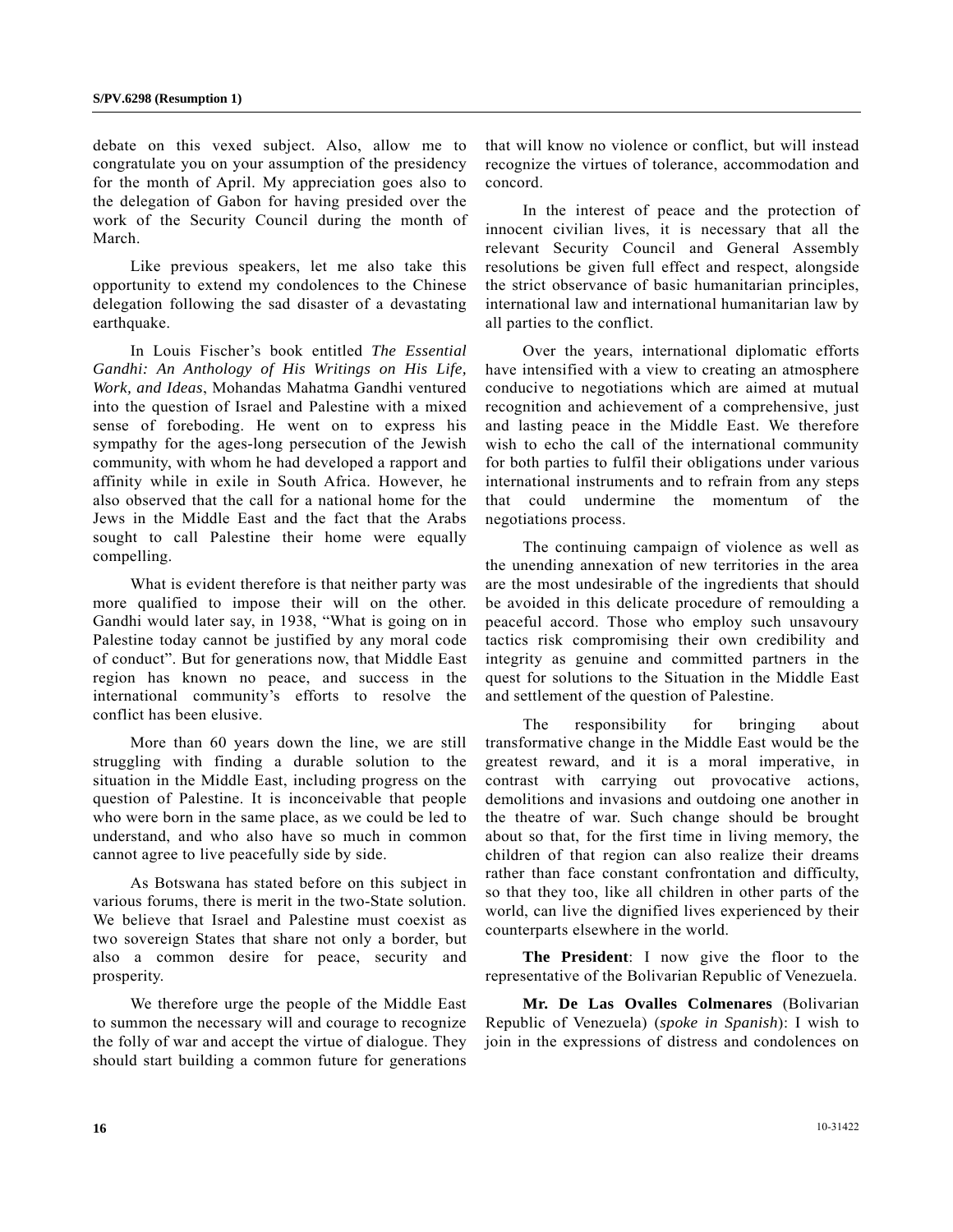debate on this vexed subject. Also, allow me to congratulate you on your assumption of the presidency for the month of April. My appreciation goes also to the delegation of Gabon for having presided over the work of the Security Council during the month of March.

 Like previous speakers, let me also take this opportunity to extend my condolences to the Chinese delegation following the sad disaster of a devastating earthquake.

 In Louis Fischer's book entitled *The Essential Gandhi: An Anthology of His Writings on His Life, Work, and Ideas*, Mohandas Mahatma Gandhi ventured into the question of Israel and Palestine with a mixed sense of foreboding. He went on to express his sympathy for the ages-long persecution of the Jewish community, with whom he had developed a rapport and affinity while in exile in South Africa. However, he also observed that the call for a national home for the Jews in the Middle East and the fact that the Arabs sought to call Palestine their home were equally compelling.

 What is evident therefore is that neither party was more qualified to impose their will on the other. Gandhi would later say, in 1938, "What is going on in Palestine today cannot be justified by any moral code of conduct". But for generations now, that Middle East region has known no peace, and success in the international community's efforts to resolve the conflict has been elusive.

 More than 60 years down the line, we are still struggling with finding a durable solution to the situation in the Middle East, including progress on the question of Palestine. It is inconceivable that people who were born in the same place, as we could be led to understand, and who also have so much in common cannot agree to live peacefully side by side.

 As Botswana has stated before on this subject in various forums, there is merit in the two-State solution. We believe that Israel and Palestine must coexist as two sovereign States that share not only a border, but also a common desire for peace, security and prosperity.

 We therefore urge the people of the Middle East to summon the necessary will and courage to recognize the folly of war and accept the virtue of dialogue. They should start building a common future for generations

that will know no violence or conflict, but will instead recognize the virtues of tolerance, accommodation and concord.

 In the interest of peace and the protection of innocent civilian lives, it is necessary that all the relevant Security Council and General Assembly resolutions be given full effect and respect, alongside the strict observance of basic humanitarian principles, international law and international humanitarian law by all parties to the conflict.

 Over the years, international diplomatic efforts have intensified with a view to creating an atmosphere conducive to negotiations which are aimed at mutual recognition and achievement of a comprehensive, just and lasting peace in the Middle East. We therefore wish to echo the call of the international community for both parties to fulfil their obligations under various international instruments and to refrain from any steps that could undermine the momentum of the negotiations process.

 The continuing campaign of violence as well as the unending annexation of new territories in the area are the most undesirable of the ingredients that should be avoided in this delicate procedure of remoulding a peaceful accord. Those who employ such unsavoury tactics risk compromising their own credibility and integrity as genuine and committed partners in the quest for solutions to the Situation in the Middle East and settlement of the question of Palestine.

 The responsibility for bringing about transformative change in the Middle East would be the greatest reward, and it is a moral imperative, in contrast with carrying out provocative actions, demolitions and invasions and outdoing one another in the theatre of war. Such change should be brought about so that, for the first time in living memory, the children of that region can also realize their dreams rather than face constant confrontation and difficulty, so that they too, like all children in other parts of the world, can live the dignified lives experienced by their counterparts elsewhere in the world.

**The President**: I now give the floor to the representative of the Bolivarian Republic of Venezuela.

**Mr. De Las Ovalles Colmenares** (Bolivarian Republic of Venezuela) (*spoke in Spanish*): I wish to join in the expressions of distress and condolences on